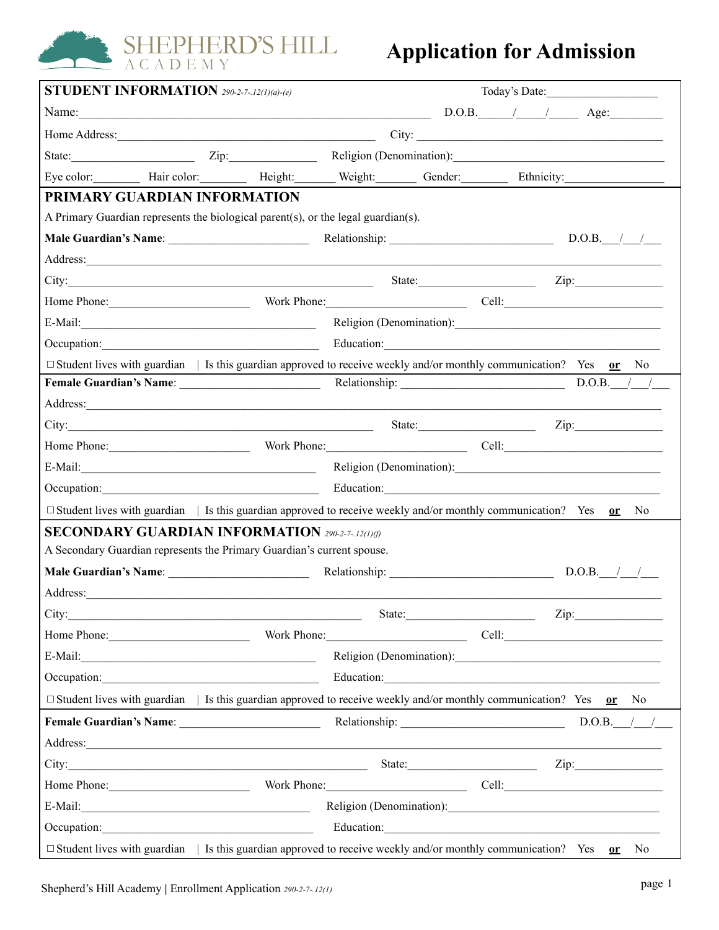

#### **Application for Admission**

| <b>STUDENT INFORMATION</b> 290-2-7-12(1)(a)-(e)                                                                                                                                                                                      |                                                                                                                                                                                                                                      |                                                                                                                                                                                                                                      |                           |  |  |  |
|--------------------------------------------------------------------------------------------------------------------------------------------------------------------------------------------------------------------------------------|--------------------------------------------------------------------------------------------------------------------------------------------------------------------------------------------------------------------------------------|--------------------------------------------------------------------------------------------------------------------------------------------------------------------------------------------------------------------------------------|---------------------------|--|--|--|
|                                                                                                                                                                                                                                      |                                                                                                                                                                                                                                      |                                                                                                                                                                                                                                      | $D.O.B.$ $/$ $/$ $/$ Age: |  |  |  |
|                                                                                                                                                                                                                                      |                                                                                                                                                                                                                                      |                                                                                                                                                                                                                                      | City:                     |  |  |  |
| State: $\qquad \qquad \text{Zip:}$                                                                                                                                                                                                   |                                                                                                                                                                                                                                      | Religion (Denomination):                                                                                                                                                                                                             |                           |  |  |  |
|                                                                                                                                                                                                                                      | Eye color: Hair color: Height: Weight: Gender: Ethnicity:                                                                                                                                                                            |                                                                                                                                                                                                                                      |                           |  |  |  |
| PRIMARY GUARDIAN INFORMATION                                                                                                                                                                                                         |                                                                                                                                                                                                                                      |                                                                                                                                                                                                                                      |                           |  |  |  |
|                                                                                                                                                                                                                                      | A Primary Guardian represents the biological parent(s), or the legal guardian(s).                                                                                                                                                    |                                                                                                                                                                                                                                      |                           |  |  |  |
|                                                                                                                                                                                                                                      |                                                                                                                                                                                                                                      |                                                                                                                                                                                                                                      |                           |  |  |  |
|                                                                                                                                                                                                                                      | Address: <u>and the same of the same of the same of the same of the same of the same of the same of the same of the same of the same of the same of the same of the same of the same of the same of the same of the same of the </u> |                                                                                                                                                                                                                                      |                           |  |  |  |
|                                                                                                                                                                                                                                      | City: Zip: Zip:                                                                                                                                                                                                                      |                                                                                                                                                                                                                                      |                           |  |  |  |
|                                                                                                                                                                                                                                      | Home Phone: Work Phone: Cell: Cell:                                                                                                                                                                                                  |                                                                                                                                                                                                                                      |                           |  |  |  |
|                                                                                                                                                                                                                                      |                                                                                                                                                                                                                                      |                                                                                                                                                                                                                                      |                           |  |  |  |
|                                                                                                                                                                                                                                      |                                                                                                                                                                                                                                      | Education: <u>Contraction</u>                                                                                                                                                                                                        |                           |  |  |  |
|                                                                                                                                                                                                                                      | $\Box$ Student lives with guardian   Is this guardian approved to receive weekly and/or monthly communication? Yes or No                                                                                                             |                                                                                                                                                                                                                                      |                           |  |  |  |
|                                                                                                                                                                                                                                      |                                                                                                                                                                                                                                      |                                                                                                                                                                                                                                      | $D.O.B.$ / /              |  |  |  |
|                                                                                                                                                                                                                                      | Address:                                                                                                                                                                                                                             |                                                                                                                                                                                                                                      |                           |  |  |  |
|                                                                                                                                                                                                                                      |                                                                                                                                                                                                                                      |                                                                                                                                                                                                                                      | State: Zip: Zip:          |  |  |  |
|                                                                                                                                                                                                                                      | Home Phone: Work Phone: Work Phone: Cell:                                                                                                                                                                                            |                                                                                                                                                                                                                                      |                           |  |  |  |
|                                                                                                                                                                                                                                      |                                                                                                                                                                                                                                      |                                                                                                                                                                                                                                      |                           |  |  |  |
|                                                                                                                                                                                                                                      |                                                                                                                                                                                                                                      | Education: <u>Container and Container and Container and Container and Container and Container and Container and Container and Container and Container and Container and Container and Container and Container and Container and </u> |                           |  |  |  |
|                                                                                                                                                                                                                                      | $\Box$ Student lives with guardian   Is this guardian approved to receive weekly and/or monthly communication? Yes or No                                                                                                             |                                                                                                                                                                                                                                      |                           |  |  |  |
|                                                                                                                                                                                                                                      | <b>SECONDARY GUARDIAN INFORMATION 290-2-7-12(1)(f)</b>                                                                                                                                                                               |                                                                                                                                                                                                                                      |                           |  |  |  |
|                                                                                                                                                                                                                                      | A Secondary Guardian represents the Primary Guardian's current spouse.                                                                                                                                                               |                                                                                                                                                                                                                                      |                           |  |  |  |
|                                                                                                                                                                                                                                      |                                                                                                                                                                                                                                      |                                                                                                                                                                                                                                      |                           |  |  |  |
|                                                                                                                                                                                                                                      | Address: and the contract of the contract of the contract of the contract of the contract of the contract of the contract of the contract of the contract of the contract of the contract of the contract of the contract of t       |                                                                                                                                                                                                                                      |                           |  |  |  |
|                                                                                                                                                                                                                                      |                                                                                                                                                                                                                                      | State:                                                                                                                                                                                                                               | Zip:                      |  |  |  |
|                                                                                                                                                                                                                                      | Home Phone: Work Phone: Cell:                                                                                                                                                                                                        |                                                                                                                                                                                                                                      |                           |  |  |  |
|                                                                                                                                                                                                                                      |                                                                                                                                                                                                                                      | Religion (Denomination):                                                                                                                                                                                                             |                           |  |  |  |
| Occupation: <u>contract and contract and contract and contract and contract and contract and contract and contract and contract and contract and contract and contract and contract and contract and contract and contract and c</u> |                                                                                                                                                                                                                                      | Education:                                                                                                                                                                                                                           |                           |  |  |  |
|                                                                                                                                                                                                                                      | $\Box$ Student lives with guardian   Is this guardian approved to receive weekly and/or monthly communication? Yes or No                                                                                                             |                                                                                                                                                                                                                                      |                           |  |  |  |
|                                                                                                                                                                                                                                      |                                                                                                                                                                                                                                      |                                                                                                                                                                                                                                      |                           |  |  |  |
|                                                                                                                                                                                                                                      | Address: <u>The Community of the Community of the Community of the Community of the Community of the Community of the Community of the Community of the Community of the Community of the Community of the Community of the Comm</u> |                                                                                                                                                                                                                                      |                           |  |  |  |
|                                                                                                                                                                                                                                      |                                                                                                                                                                                                                                      |                                                                                                                                                                                                                                      | State: Zip: Zip:          |  |  |  |
|                                                                                                                                                                                                                                      | Home Phone: Work Phone: Work Phone: Cell:                                                                                                                                                                                            |                                                                                                                                                                                                                                      |                           |  |  |  |
|                                                                                                                                                                                                                                      |                                                                                                                                                                                                                                      | Religion (Denomination):                                                                                                                                                                                                             |                           |  |  |  |
| Occupation: <u>contract and contract and contract and contract and contract and contract and contract and contract and contract and contract and contract and contract and contract and contract and contract and contract and c</u> |                                                                                                                                                                                                                                      |                                                                                                                                                                                                                                      |                           |  |  |  |
|                                                                                                                                                                                                                                      | $\Box$ Student lives with guardian   Is this guardian approved to receive weekly and/or monthly communication? Yes or                                                                                                                |                                                                                                                                                                                                                                      | No                        |  |  |  |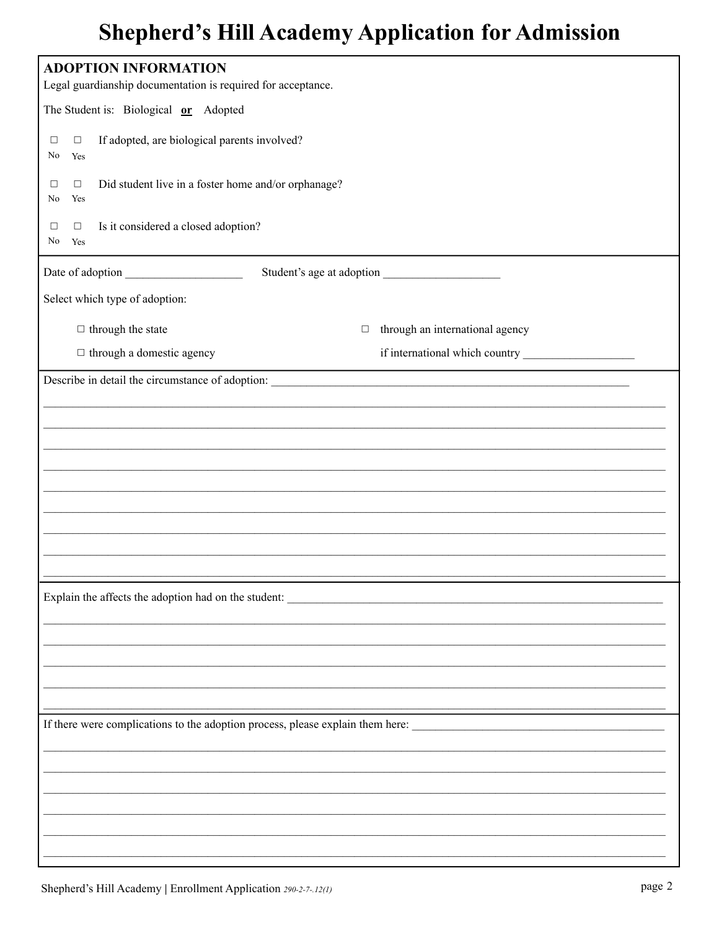| <b>ADOPTION INFORMATION</b>                                                          |                                 |  |  |  |  |
|--------------------------------------------------------------------------------------|---------------------------------|--|--|--|--|
| Legal guardianship documentation is required for acceptance.                         |                                 |  |  |  |  |
| The Student is: Biological or Adopted                                                |                                 |  |  |  |  |
| If adopted, are biological parents involved?<br>$\Box$<br>$\Box$<br>No<br>Yes        |                                 |  |  |  |  |
| Did student live in a foster home and/or orphanage?<br>$\Box$<br>$\Box$<br>Yes<br>No |                                 |  |  |  |  |
| Is it considered a closed adoption?<br>$\Box$<br>$\Box$<br>No.<br>Yes                |                                 |  |  |  |  |
|                                                                                      |                                 |  |  |  |  |
| Select which type of adoption:                                                       |                                 |  |  |  |  |
| $\Box$ through the state<br>$\Box$                                                   | through an international agency |  |  |  |  |
| $\Box$ through a domestic agency                                                     |                                 |  |  |  |  |
|                                                                                      |                                 |  |  |  |  |
|                                                                                      |                                 |  |  |  |  |
|                                                                                      |                                 |  |  |  |  |
|                                                                                      |                                 |  |  |  |  |
|                                                                                      |                                 |  |  |  |  |
|                                                                                      |                                 |  |  |  |  |
|                                                                                      |                                 |  |  |  |  |
|                                                                                      |                                 |  |  |  |  |
| Explain the affects the adoption had on the student:                                 |                                 |  |  |  |  |
|                                                                                      |                                 |  |  |  |  |
|                                                                                      |                                 |  |  |  |  |
|                                                                                      |                                 |  |  |  |  |
|                                                                                      |                                 |  |  |  |  |
| If there were complications to the adoption process, please explain them here:       |                                 |  |  |  |  |
|                                                                                      |                                 |  |  |  |  |
|                                                                                      |                                 |  |  |  |  |
|                                                                                      |                                 |  |  |  |  |
|                                                                                      |                                 |  |  |  |  |
|                                                                                      |                                 |  |  |  |  |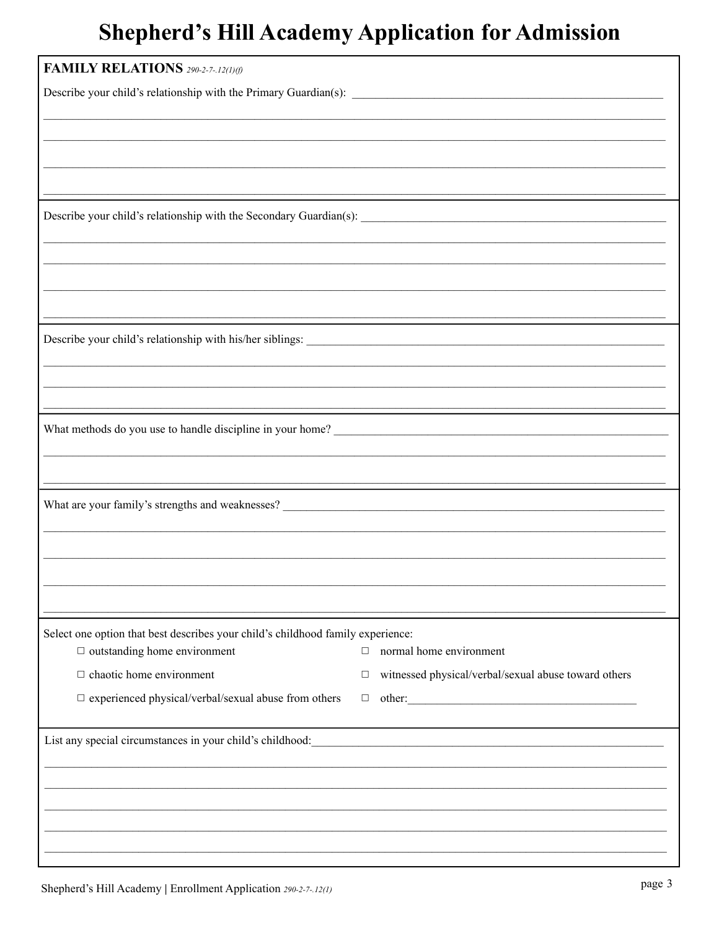| <b>FAMILY RELATIONS</b> 290-2-7-.12(1)(f)                                                                                                                                                                                              |                                                           |
|----------------------------------------------------------------------------------------------------------------------------------------------------------------------------------------------------------------------------------------|-----------------------------------------------------------|
|                                                                                                                                                                                                                                        |                                                           |
|                                                                                                                                                                                                                                        |                                                           |
|                                                                                                                                                                                                                                        |                                                           |
|                                                                                                                                                                                                                                        |                                                           |
|                                                                                                                                                                                                                                        |                                                           |
|                                                                                                                                                                                                                                        |                                                           |
|                                                                                                                                                                                                                                        |                                                           |
|                                                                                                                                                                                                                                        |                                                           |
|                                                                                                                                                                                                                                        |                                                           |
|                                                                                                                                                                                                                                        |                                                           |
|                                                                                                                                                                                                                                        |                                                           |
|                                                                                                                                                                                                                                        |                                                           |
|                                                                                                                                                                                                                                        |                                                           |
|                                                                                                                                                                                                                                        |                                                           |
|                                                                                                                                                                                                                                        |                                                           |
|                                                                                                                                                                                                                                        |                                                           |
| What methods do you use to handle discipline in your home?<br><u>Letter and the substantial of the substantial of the substantial of the substantial of the substantial of the substantial of the substantial of the substantial o</u> |                                                           |
|                                                                                                                                                                                                                                        |                                                           |
|                                                                                                                                                                                                                                        |                                                           |
|                                                                                                                                                                                                                                        |                                                           |
|                                                                                                                                                                                                                                        |                                                           |
|                                                                                                                                                                                                                                        |                                                           |
|                                                                                                                                                                                                                                        |                                                           |
|                                                                                                                                                                                                                                        |                                                           |
|                                                                                                                                                                                                                                        |                                                           |
| Select one option that best describes your child's childhood family experience:                                                                                                                                                        |                                                           |
| $\Box$ outstanding home environment                                                                                                                                                                                                    | normal home environment<br>$\Box$                         |
| $\Box$ chaotic home environment                                                                                                                                                                                                        | witnessed physical/verbal/sexual abuse toward others<br>□ |
| $\Box$ experienced physical/verbal/sexual abuse from others                                                                                                                                                                            |                                                           |
|                                                                                                                                                                                                                                        |                                                           |
| List any special circumstances in your child's childhood:<br><u>List</u> any special circumstances in your child's childhood:                                                                                                          |                                                           |
|                                                                                                                                                                                                                                        |                                                           |
|                                                                                                                                                                                                                                        |                                                           |
|                                                                                                                                                                                                                                        |                                                           |
|                                                                                                                                                                                                                                        |                                                           |
|                                                                                                                                                                                                                                        |                                                           |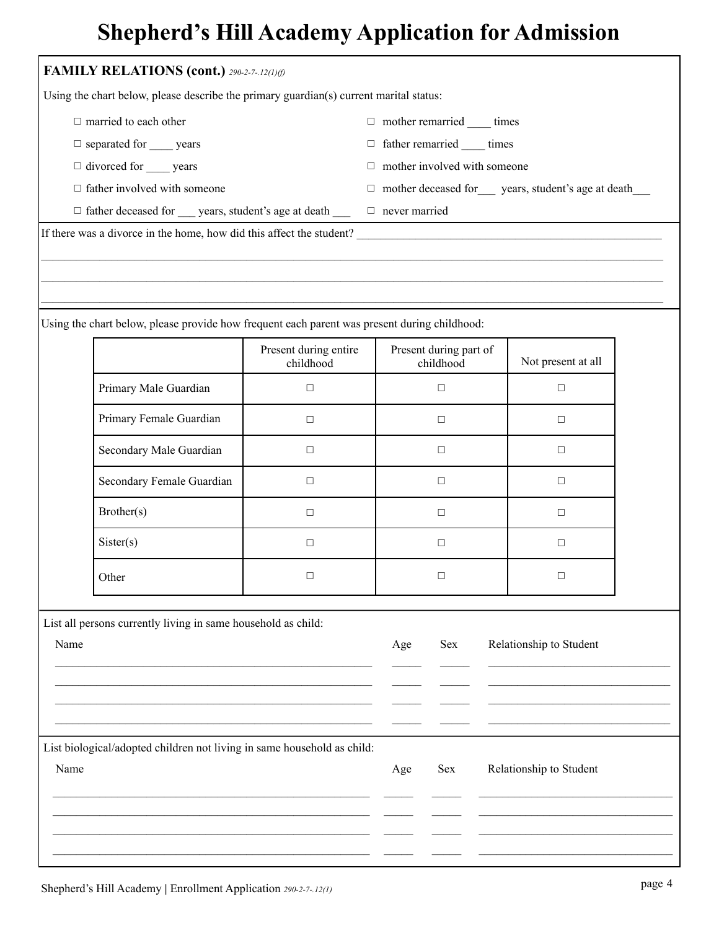|                                   | FAMILY RELATIONS (cont.) 290-2-7-.12(1)(f)                                                   |                                    |                                                          |                         |  |  |
|-----------------------------------|----------------------------------------------------------------------------------------------|------------------------------------|----------------------------------------------------------|-------------------------|--|--|
|                                   | Using the chart below, please describe the primary guardian(s) current marital status:       |                                    |                                                          |                         |  |  |
|                                   | $\Box$ married to each other                                                                 |                                    | $\Box$ mother remarried $\rule{1em}{0.15mm}$ times       |                         |  |  |
| $\Box$ separated for ______ years |                                                                                              |                                    | $\Box$ father remarried ______ times                     |                         |  |  |
| $\Box$ divorced for ______ years  |                                                                                              |                                    | $\Box$ mother involved with someone                      |                         |  |  |
|                                   | $\Box$ father involved with someone                                                          |                                    | $\Box$ mother deceased for years, student's age at death |                         |  |  |
|                                   | $\Box$ father deceased for __ years, student's age at death __ $\Box$ never married          |                                    |                                                          |                         |  |  |
|                                   | If there was a divorce in the home, how did this affect the student?                         |                                    |                                                          |                         |  |  |
|                                   |                                                                                              |                                    |                                                          |                         |  |  |
|                                   |                                                                                              |                                    |                                                          |                         |  |  |
|                                   | Using the chart below, please provide how frequent each parent was present during childhood: |                                    |                                                          |                         |  |  |
|                                   |                                                                                              | Present during entire<br>childhood | Present during part of<br>childhood                      | Not present at all      |  |  |
|                                   | Primary Male Guardian                                                                        | $\Box$                             | $\Box$                                                   | $\Box$                  |  |  |
|                                   | Primary Female Guardian                                                                      | $\Box$                             | $\Box$                                                   | $\Box$                  |  |  |
|                                   | Secondary Male Guardian                                                                      | $\Box$                             | $\Box$                                                   | □                       |  |  |
|                                   | Secondary Female Guardian                                                                    | $\Box$                             | $\Box$                                                   | □                       |  |  |
|                                   | Brother(s)                                                                                   | $\Box$                             | $\Box$                                                   | $\Box$                  |  |  |
|                                   |                                                                                              |                                    |                                                          |                         |  |  |
|                                   | Sister(s)                                                                                    | $\Box$                             | □                                                        | □                       |  |  |
|                                   | Other                                                                                        | $\Box$                             | □                                                        | □                       |  |  |
|                                   |                                                                                              |                                    |                                                          |                         |  |  |
| Name                              | List all persons currently living in same household as child:                                |                                    | Sex<br>Age                                               | Relationship to Student |  |  |
|                                   |                                                                                              |                                    |                                                          |                         |  |  |
|                                   |                                                                                              |                                    |                                                          |                         |  |  |
|                                   |                                                                                              |                                    |                                                          |                         |  |  |
|                                   | List biological/adopted children not living in same household as child:                      |                                    |                                                          |                         |  |  |

 $\mathcal{L}_\mathcal{L}$  $\mathcal{L}$ 

 $\mathcal{L}_\mathcal{L}$  $\mathcal{L}$ 

 $\mathcal{L}_\text{max}$  $\mathcal{L}_\text{max}$  and  $\mathcal{L}_\text{max}$  and  $\mathcal{L}_\text{max}$  and  $\mathcal{L}_\text{max}$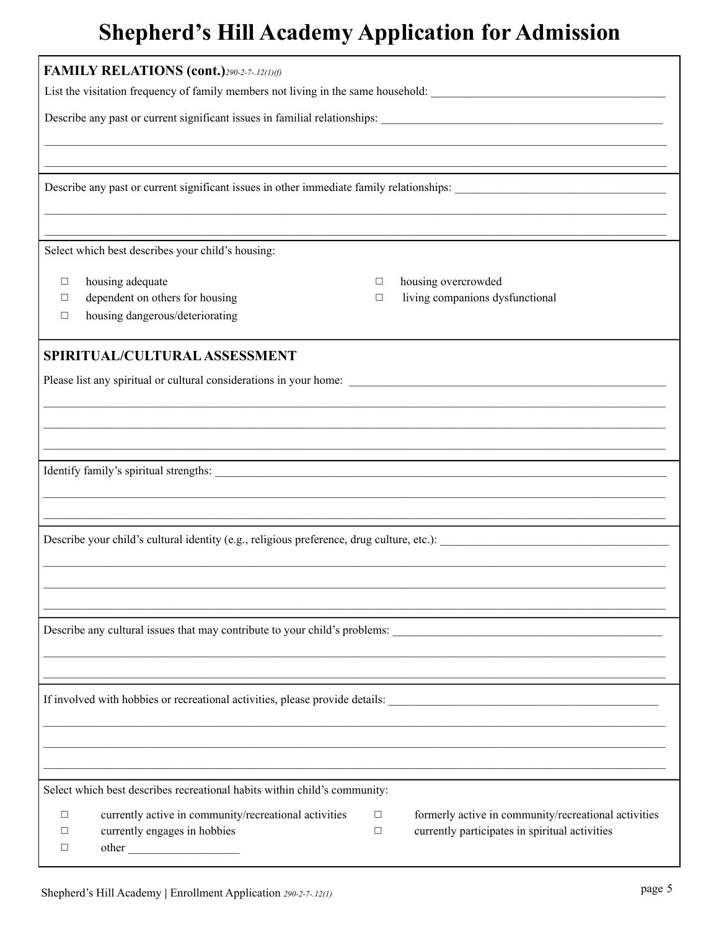| <b>FAMILY RELATIONS (cont.)290-2-7-12(1)(f)</b>                                           |                                                           |  |  |  |  |  |  |  |
|-------------------------------------------------------------------------------------------|-----------------------------------------------------------|--|--|--|--|--|--|--|
|                                                                                           |                                                           |  |  |  |  |  |  |  |
|                                                                                           |                                                           |  |  |  |  |  |  |  |
|                                                                                           |                                                           |  |  |  |  |  |  |  |
|                                                                                           |                                                           |  |  |  |  |  |  |  |
| Select which best describes your child's housing:                                         |                                                           |  |  |  |  |  |  |  |
| housing adequate<br>□                                                                     | housing overcrowded<br>$\Box$                             |  |  |  |  |  |  |  |
| dependent on others for housing<br>□<br>housing dangerous/deteriorating<br>□              | living companions dysfunctional<br>$\Box$                 |  |  |  |  |  |  |  |
| SPIRITUAL/CULTURAL ASSESSMENT                                                             |                                                           |  |  |  |  |  |  |  |
|                                                                                           |                                                           |  |  |  |  |  |  |  |
|                                                                                           |                                                           |  |  |  |  |  |  |  |
|                                                                                           |                                                           |  |  |  |  |  |  |  |
|                                                                                           |                                                           |  |  |  |  |  |  |  |
|                                                                                           |                                                           |  |  |  |  |  |  |  |
|                                                                                           |                                                           |  |  |  |  |  |  |  |
| Describe your child's cultural identity (e.g., religious preference, drug culture, etc.): |                                                           |  |  |  |  |  |  |  |
|                                                                                           |                                                           |  |  |  |  |  |  |  |
|                                                                                           |                                                           |  |  |  |  |  |  |  |
|                                                                                           |                                                           |  |  |  |  |  |  |  |
| Describe any cultural issues that may contribute to your child's problems:                |                                                           |  |  |  |  |  |  |  |
|                                                                                           |                                                           |  |  |  |  |  |  |  |
|                                                                                           |                                                           |  |  |  |  |  |  |  |
|                                                                                           |                                                           |  |  |  |  |  |  |  |
|                                                                                           |                                                           |  |  |  |  |  |  |  |
|                                                                                           |                                                           |  |  |  |  |  |  |  |
| Select which best describes recreational habits within child's community:                 |                                                           |  |  |  |  |  |  |  |
| currently active in community/recreational activities<br>□                                | formerly active in community/recreational activities<br>□ |  |  |  |  |  |  |  |
| currently engages in hobbies<br>□<br>□                                                    | currently participates in spiritual activities<br>$\Box$  |  |  |  |  |  |  |  |
|                                                                                           |                                                           |  |  |  |  |  |  |  |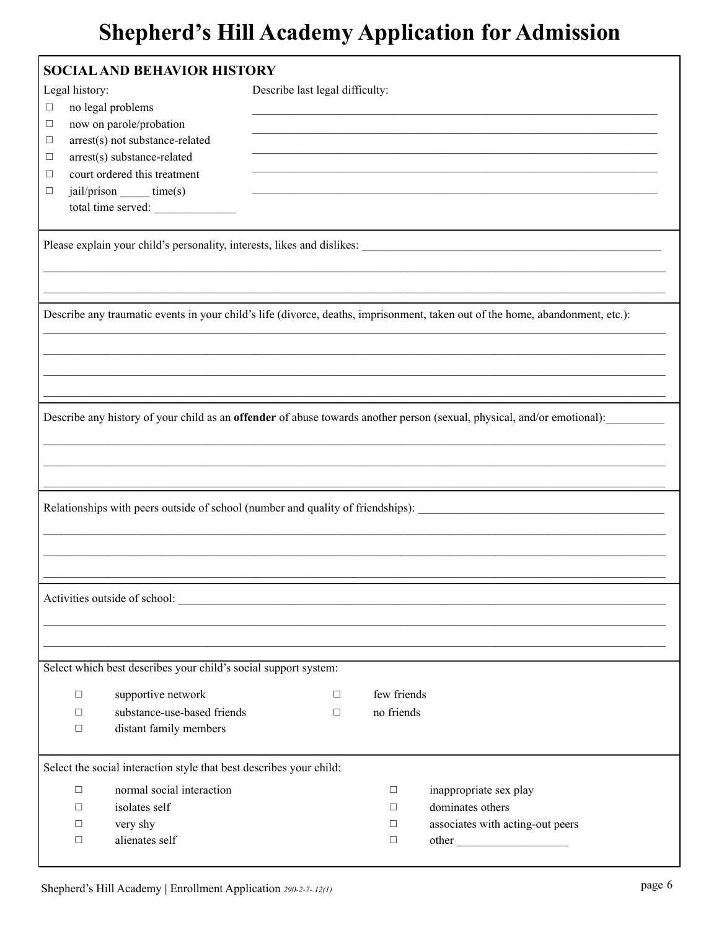|                | <b>SOCIAL AND BEHAVIOR HISTORY</b>                                  |                                 |             |                                                                                                                               |
|----------------|---------------------------------------------------------------------|---------------------------------|-------------|-------------------------------------------------------------------------------------------------------------------------------|
| Legal history: |                                                                     | Describe last legal difficulty: |             |                                                                                                                               |
| $\Box$         | no legal problems                                                   |                                 |             |                                                                                                                               |
| $\Box$         | now on parole/probation                                             |                                 |             |                                                                                                                               |
| □              | arrest(s) not substance-related                                     |                                 |             |                                                                                                                               |
| □              | arrest(s) substance-related                                         |                                 |             |                                                                                                                               |
| □              | court ordered this treatment                                        |                                 |             |                                                                                                                               |
| $\Box$         | jail/prison _____ time(s)                                           |                                 |             |                                                                                                                               |
|                | total time served:                                                  |                                 |             |                                                                                                                               |
|                |                                                                     |                                 |             |                                                                                                                               |
|                |                                                                     |                                 |             |                                                                                                                               |
|                |                                                                     |                                 |             |                                                                                                                               |
|                |                                                                     |                                 |             |                                                                                                                               |
|                |                                                                     |                                 |             | Describe any traumatic events in your child's life (divorce, deaths, imprisonment, taken out of the home, abandonment, etc.): |
|                |                                                                     |                                 |             |                                                                                                                               |
|                |                                                                     |                                 |             |                                                                                                                               |
|                |                                                                     |                                 |             |                                                                                                                               |
|                |                                                                     |                                 |             |                                                                                                                               |
|                |                                                                     |                                 |             | Describe any history of your child as an offender of abuse towards another person (sexual, physical, and/or emotional):       |
|                |                                                                     |                                 |             |                                                                                                                               |
|                |                                                                     |                                 |             |                                                                                                                               |
|                |                                                                     |                                 |             |                                                                                                                               |
|                |                                                                     |                                 |             | Relationships with peers outside of school (number and quality of friendships):                                               |
|                |                                                                     |                                 |             |                                                                                                                               |
|                |                                                                     |                                 |             |                                                                                                                               |
|                |                                                                     |                                 |             |                                                                                                                               |
|                |                                                                     |                                 |             |                                                                                                                               |
|                |                                                                     |                                 |             |                                                                                                                               |
|                |                                                                     |                                 |             |                                                                                                                               |
|                |                                                                     |                                 |             |                                                                                                                               |
|                | Select which best describes your child's social support system:     |                                 |             |                                                                                                                               |
| $\Box$         | supportive network                                                  | $\Box$                          | few friends |                                                                                                                               |
| □              | substance-use-based friends                                         | $\Box$                          | no friends  |                                                                                                                               |
| □              | distant family members                                              |                                 |             |                                                                                                                               |
|                |                                                                     |                                 |             |                                                                                                                               |
|                | Select the social interaction style that best describes your child: |                                 |             |                                                                                                                               |
| $\Box$         | normal social interaction                                           |                                 | $\Box$      | inappropriate sex play                                                                                                        |
| □              | isolates self                                                       |                                 | $\Box$      | dominates others                                                                                                              |
| □              | very shy                                                            |                                 | □           | associates with acting-out peers                                                                                              |
| □              | alienates self                                                      |                                 | $\Box$      |                                                                                                                               |
|                |                                                                     |                                 |             |                                                                                                                               |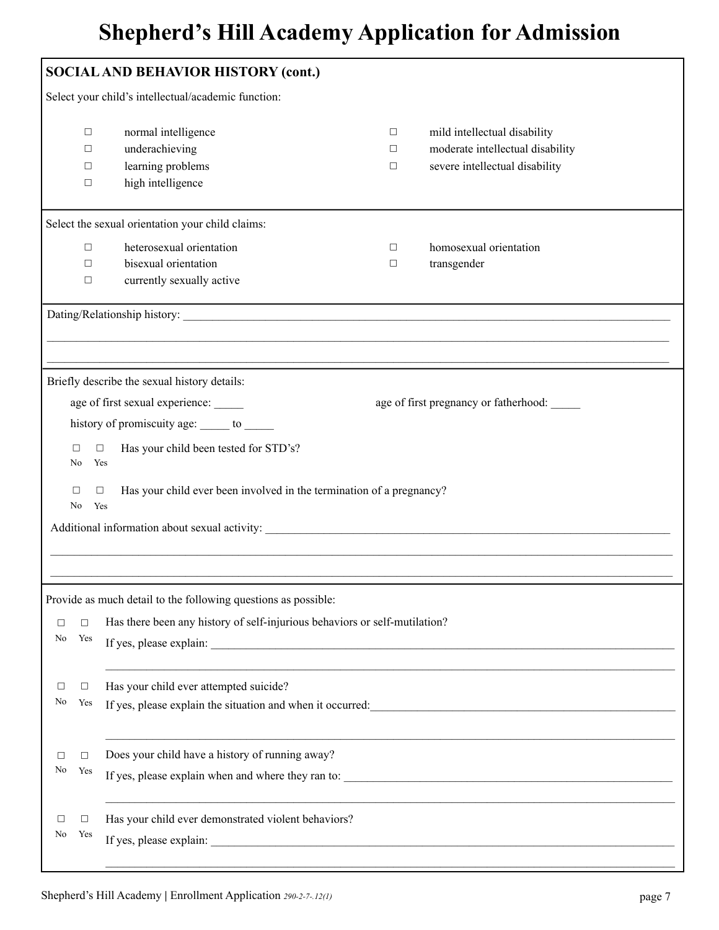| <b>SOCIAL AND BEHAVIOR HISTORY (cont.)</b> |                                                                                                                                                                        |                                                                                                                                                                                                                                |                       |                                                                                                    |  |  |  |
|--------------------------------------------|------------------------------------------------------------------------------------------------------------------------------------------------------------------------|--------------------------------------------------------------------------------------------------------------------------------------------------------------------------------------------------------------------------------|-----------------------|----------------------------------------------------------------------------------------------------|--|--|--|
|                                            |                                                                                                                                                                        | Select your child's intellectual/academic function:                                                                                                                                                                            |                       |                                                                                                    |  |  |  |
|                                            | $\Box$<br>$\Box$<br>$\Box$<br>$\Box$                                                                                                                                   | normal intelligence<br>underachieving<br>learning problems<br>high intelligence                                                                                                                                                | $\Box$<br>□<br>$\Box$ | mild intellectual disability<br>moderate intellectual disability<br>severe intellectual disability |  |  |  |
|                                            |                                                                                                                                                                        | Select the sexual orientation your child claims:                                                                                                                                                                               |                       |                                                                                                    |  |  |  |
|                                            | $\Box$<br>$\Box$<br>$\Box$                                                                                                                                             | heterosexual orientation<br>bisexual orientation<br>currently sexually active                                                                                                                                                  | $\Box$<br>$\Box$      | homosexual orientation<br>transgender                                                              |  |  |  |
|                                            |                                                                                                                                                                        | Dating/Relationship history: Letter and the contract of the contract of the contract of the contract of the contract of the contract of the contract of the contract of the contract of the contract of the contract of the co |                       |                                                                                                    |  |  |  |
|                                            |                                                                                                                                                                        |                                                                                                                                                                                                                                |                       |                                                                                                    |  |  |  |
|                                            | Briefly describe the sexual history details:<br>age of first sexual experience:<br>age of first pregnancy or fatherhood:<br>history of promiscuity age: _____ to _____ |                                                                                                                                                                                                                                |                       |                                                                                                    |  |  |  |
|                                            | Has your child been tested for STD's?<br>$\Box$<br>□<br>No<br>Yes<br>Has your child ever been involved in the termination of a pregnancy?<br>$\Box$<br>□<br>No<br>Yes  |                                                                                                                                                                                                                                |                       |                                                                                                    |  |  |  |
|                                            |                                                                                                                                                                        | Additional information about sexual activity:                                                                                                                                                                                  |                       |                                                                                                    |  |  |  |
|                                            |                                                                                                                                                                        |                                                                                                                                                                                                                                |                       |                                                                                                    |  |  |  |
| $\Box$<br>No                               | $\Box$<br>Yes                                                                                                                                                          | Provide as much detail to the following questions as possible:<br>Has there been any history of self-injurious behaviors or self-mutilation?                                                                                   |                       |                                                                                                    |  |  |  |
| □<br>No                                    | Has your child ever attempted suicide?<br>□<br>Yes<br>If yes, please explain the situation and when it occurred:                                                       |                                                                                                                                                                                                                                |                       |                                                                                                    |  |  |  |
| □<br>No                                    | □<br>Yes                                                                                                                                                               | Does your child have a history of running away?<br>If yes, please explain when and where they ran to:                                                                                                                          |                       |                                                                                                    |  |  |  |
| □<br>No                                    | Has your child ever demonstrated violent behaviors?<br>□<br>Yes                                                                                                        |                                                                                                                                                                                                                                |                       |                                                                                                    |  |  |  |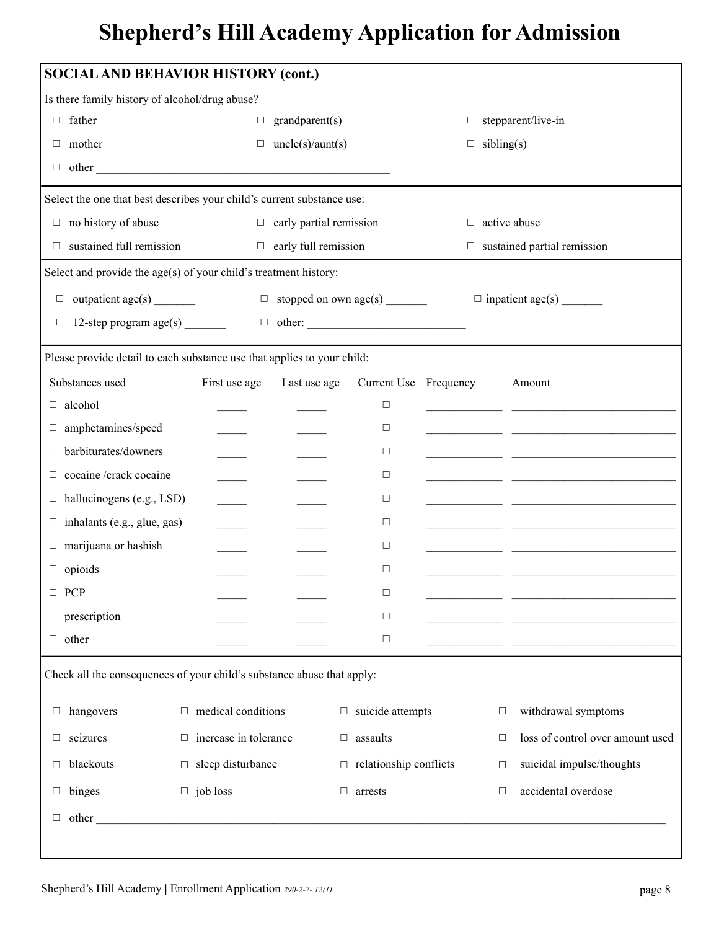| <b>SOCIAL AND BEHAVIOR HISTORY (cont.)</b>                              |                              |        |                                |                                      |  |                     |                                                                                                                        |
|-------------------------------------------------------------------------|------------------------------|--------|--------------------------------|--------------------------------------|--|---------------------|------------------------------------------------------------------------------------------------------------------------|
| Is there family history of alcohol/drug abuse?                          |                              |        |                                |                                      |  |                     |                                                                                                                        |
| $\Box$ father                                                           |                              | $\Box$ | grandparent(s)                 |                                      |  |                     | $\Box$ stepparent/live-in                                                                                              |
| $\Box$ mother                                                           |                              |        | $\Box$ uncle(s)/aunt(s)        |                                      |  | $\Box$ sibling(s)   |                                                                                                                        |
| $\Box$ other                                                            |                              |        |                                |                                      |  |                     |                                                                                                                        |
| Select the one that best describes your child's current substance use:  |                              |        |                                |                                      |  |                     |                                                                                                                        |
| $\Box$ no history of abuse                                              |                              |        | $\Box$ early partial remission |                                      |  | $\Box$ active abuse |                                                                                                                        |
| $\Box$ sustained full remission                                         |                              |        | $\Box$ early full remission    |                                      |  |                     | $\Box$ sustained partial remission                                                                                     |
| Select and provide the age(s) of your child's treatment history:        |                              |        |                                |                                      |  |                     |                                                                                                                        |
| $\Box$ outpatient age(s) ________                                       |                              |        |                                | $\Box$ stopped on own age(s) _______ |  |                     |                                                                                                                        |
| $\Box$ 12-step program age(s) $\Box$ other: $\Box$                      |                              |        |                                |                                      |  |                     |                                                                                                                        |
| Please provide detail to each substance use that applies to your child: |                              |        |                                |                                      |  |                     |                                                                                                                        |
| Substances used                                                         | First use age                |        | Last use age                   | Current Use Frequency                |  |                     | Amount                                                                                                                 |
| alcohol<br>$\Box$                                                       |                              |        |                                | $\Box$                               |  |                     | <u> 1989 - Johann John Stein, mars an deutscher Stein und der Stein und der Stein und der Stein und der Stein und</u>  |
| amphetamines/speed<br>□                                                 |                              |        |                                | $\Box$                               |  |                     |                                                                                                                        |
| barbiturates/downers<br>□                                               |                              |        |                                | $\Box$                               |  |                     |                                                                                                                        |
| cocaine /crack cocaine<br>□                                             |                              |        |                                | $\Box$                               |  |                     | <u> 1989 - Johann John Harry Barbara, mars an isang pangangang manang manang manang manang manang manang manang ma</u> |
| $\Box$ hallucinogens (e.g., LSD)                                        |                              |        |                                | $\Box$                               |  |                     | <u> 2008 - John Stein, Amerikaansk politiker (</u>                                                                     |
| $\Box$ inhalants (e.g., glue, gas)                                      |                              |        |                                | $\Box$                               |  |                     | <u> 1989 - Johann John Stein, mars an deutscher Stein († 1958)</u>                                                     |
| marijuana or hashish<br>$\Box$                                          |                              |        |                                | $\Box$                               |  |                     | <u> 1990 - Johann John Harry Harry Harry Harry Harry Harry Harry Harry Harry Harry Harry Harry Harry Harry Harry H</u> |
| $\Box$ opioids                                                          |                              |        |                                | $\Box$                               |  |                     | <u> 1989 - Jan James James, martin amerikan ba</u>                                                                     |
| $\Box$ PCP                                                              |                              |        |                                | $\Box$                               |  |                     |                                                                                                                        |
| prescription<br>$\Box$                                                  |                              |        |                                | $\Box$                               |  |                     | the control of the control of the control of the control of                                                            |
| $\Box$ other                                                            |                              |        |                                | $\Box$                               |  |                     |                                                                                                                        |
| Check all the consequences of your child's substance abuse that apply:  |                              |        |                                |                                      |  |                     |                                                                                                                        |
| hangovers<br>$\Box$                                                     | $\Box$ medical conditions    |        |                                | $\Box$ suicide attempts              |  | $\Box$              | withdrawal symptoms                                                                                                    |
| seizures<br>$\Box$                                                      | $\Box$ increase in tolerance |        | $\Box$                         | assaults                             |  | $\Box$              | loss of control over amount used                                                                                       |
| blackouts<br>□                                                          | $\Box$ sleep disturbance     |        |                                | $\Box$ relationship conflicts        |  | $\Box$              | suicidal impulse/thoughts                                                                                              |
| binges<br>$\Box$                                                        | $\Box$ job loss              |        | $\Box$                         | arrests                              |  | $\Box$              | accidental overdose                                                                                                    |
| $\Box$ other $\_\_$                                                     |                              |        |                                |                                      |  |                     |                                                                                                                        |
|                                                                         |                              |        |                                |                                      |  |                     |                                                                                                                        |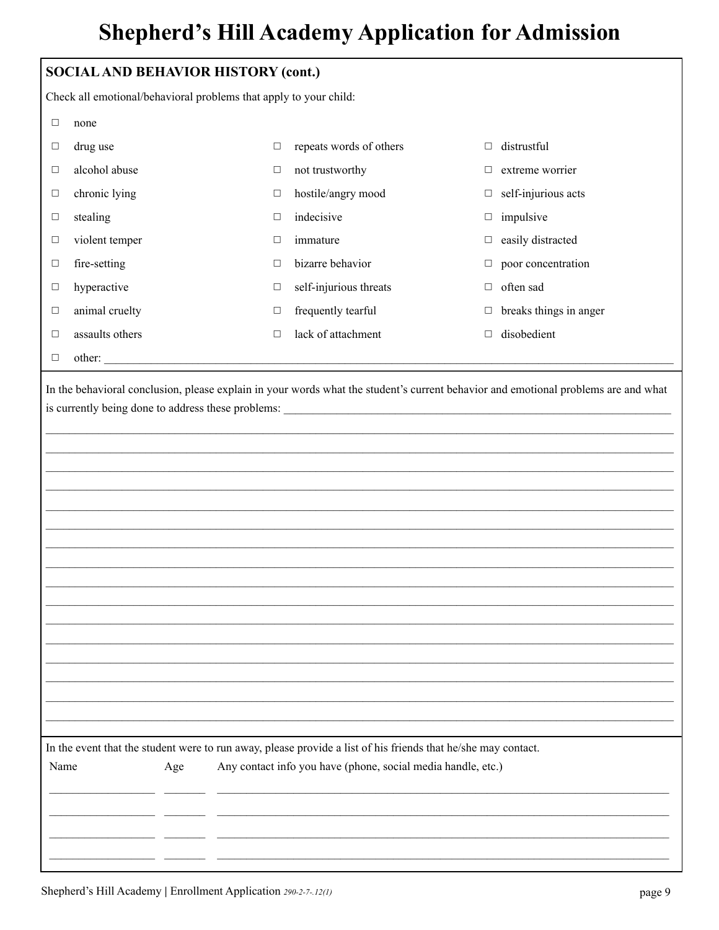|                                                                                                                                    | <b>SOCIAL AND BEHAVIOR HISTORY (cont.)</b> |     |        |                                                                                                                                                                               |        |                        |  |
|------------------------------------------------------------------------------------------------------------------------------------|--------------------------------------------|-----|--------|-------------------------------------------------------------------------------------------------------------------------------------------------------------------------------|--------|------------------------|--|
| Check all emotional/behavioral problems that apply to your child:                                                                  |                                            |     |        |                                                                                                                                                                               |        |                        |  |
| $\Box$                                                                                                                             | none                                       |     |        |                                                                                                                                                                               |        |                        |  |
| $\Box$                                                                                                                             | drug use                                   |     | $\Box$ | repeats words of others                                                                                                                                                       | $\Box$ | distrustful            |  |
| □                                                                                                                                  | alcohol abuse                              |     | $\Box$ | not trustworthy                                                                                                                                                               | □      | extreme worrier        |  |
| □                                                                                                                                  | chronic lying                              |     | □      | hostile/angry mood                                                                                                                                                            | $\Box$ | self-injurious acts    |  |
| $\Box$                                                                                                                             | stealing                                   |     | $\Box$ | indecisive                                                                                                                                                                    | $\Box$ | impulsive              |  |
| $\Box$                                                                                                                             | violent temper                             |     | □      | immature                                                                                                                                                                      | $\Box$ | easily distracted      |  |
| $\Box$                                                                                                                             | fire-setting                               |     | □      | bizarre behavior                                                                                                                                                              | □      | poor concentration     |  |
| $\Box$                                                                                                                             | hyperactive                                |     | $\Box$ | self-injurious threats                                                                                                                                                        | $\Box$ | often sad              |  |
| $\Box$                                                                                                                             | animal cruelty                             |     | □      | frequently tearful                                                                                                                                                            | □      | breaks things in anger |  |
| $\Box$                                                                                                                             | assaults others                            |     | $\Box$ | lack of attachment                                                                                                                                                            | $\Box$ | disobedient            |  |
| $\Box$                                                                                                                             |                                            |     |        |                                                                                                                                                                               |        |                        |  |
| In the behavioral conclusion, please explain in your words what the student's current behavior and emotional problems are and what |                                            |     |        |                                                                                                                                                                               |        |                        |  |
| Name                                                                                                                               |                                            | Age |        | In the event that the student were to run away, please provide a list of his friends that he/she may contact.<br>Any contact info you have (phone, social media handle, etc.) |        |                        |  |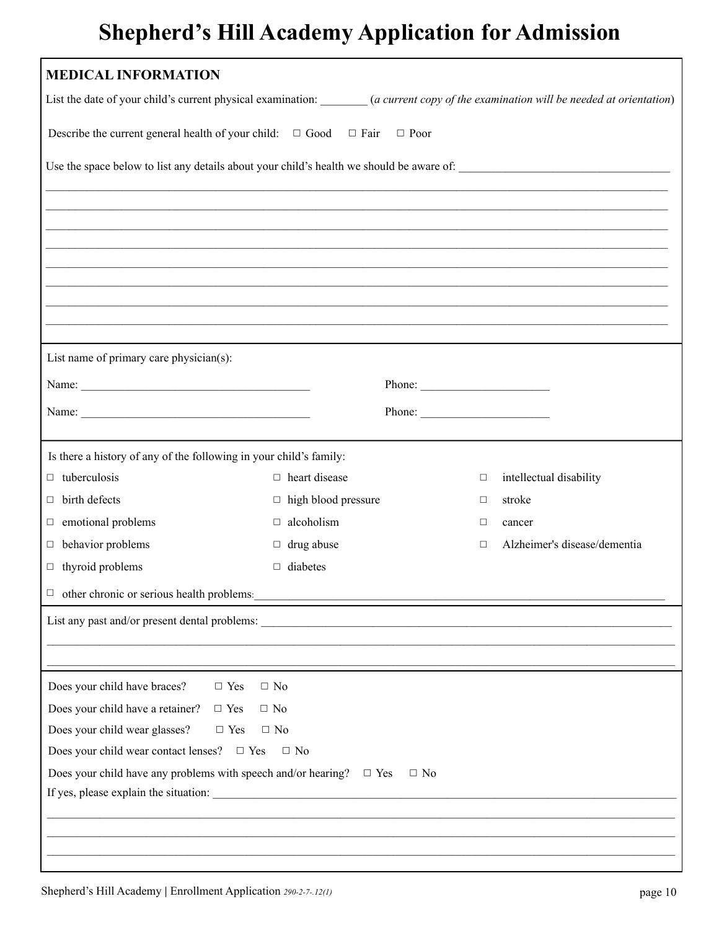| <b>MEDICAL INFORMATION</b>                                                                                                            |                            |           |        |                              |  |  |  |
|---------------------------------------------------------------------------------------------------------------------------------------|----------------------------|-----------|--------|------------------------------|--|--|--|
| List the date of your child's current physical examination: _______ (a current copy of the examination will be needed at orientation) |                            |           |        |                              |  |  |  |
| Describe the current general health of your child: $\Box$ Good $\Box$ Fair $\Box$ Poor                                                |                            |           |        |                              |  |  |  |
| Use the space below to list any details about your child's health we should be aware of:                                              |                            |           |        |                              |  |  |  |
|                                                                                                                                       |                            |           |        |                              |  |  |  |
|                                                                                                                                       |                            |           |        |                              |  |  |  |
|                                                                                                                                       |                            |           |        |                              |  |  |  |
|                                                                                                                                       |                            |           |        |                              |  |  |  |
|                                                                                                                                       |                            |           |        |                              |  |  |  |
| ,我们也不能在这里的人,我们也不能在这里的人,我们也不能不能不能不能不能不能不能不能不能不能不能不能不能不能不能。""我们,我们也不能不能不能不能不能不能不能不能                                                     |                            |           |        |                              |  |  |  |
| List name of primary care physician(s):                                                                                               |                            |           |        |                              |  |  |  |
| Name: Name:                                                                                                                           |                            | Phone:    |        |                              |  |  |  |
|                                                                                                                                       |                            |           |        |                              |  |  |  |
|                                                                                                                                       |                            |           |        |                              |  |  |  |
| Is there a history of any of the following in your child's family:                                                                    |                            |           |        |                              |  |  |  |
| $\Box$ tuberculosis                                                                                                                   | $\Box$ heart disease       |           | $\Box$ | intellectual disability      |  |  |  |
| $\Box$ birth defects                                                                                                                  | $\Box$ high blood pressure |           | $\Box$ | stroke                       |  |  |  |
| $\Box$ emotional problems                                                                                                             | alcoholism<br>$\Box$       |           | □      | cancer                       |  |  |  |
| $\Box$ behavior problems                                                                                                              | $\Box$ drug abuse          |           | $\Box$ | Alzheimer's disease/dementia |  |  |  |
| $\Box$ thyroid problems                                                                                                               | diabetes<br>$\Box$         |           |        |                              |  |  |  |
| $\Box$ other chronic or serious health problems:                                                                                      |                            |           |        |                              |  |  |  |
| List any past and/or present dental problems:                                                                                         |                            |           |        |                              |  |  |  |
|                                                                                                                                       |                            |           |        |                              |  |  |  |
| $\Box$ Yes                                                                                                                            | $\Box$ No                  |           |        |                              |  |  |  |
| Does your child have braces?<br>Does your child have a retainer?<br>$\Box$ Yes                                                        | $\Box$ No                  |           |        |                              |  |  |  |
| Does your child wear glasses?<br>$\Box$ Yes                                                                                           | $\Box$ No                  |           |        |                              |  |  |  |
| Does your child wear contact lenses? $\Box$ Yes $\Box$ No                                                                             |                            |           |        |                              |  |  |  |
| Does your child have any problems with speech and/or hearing? $\square$ Yes                                                           |                            | $\Box$ No |        |                              |  |  |  |
|                                                                                                                                       |                            |           |        |                              |  |  |  |
|                                                                                                                                       |                            |           |        |                              |  |  |  |
|                                                                                                                                       |                            |           |        |                              |  |  |  |
|                                                                                                                                       |                            |           |        |                              |  |  |  |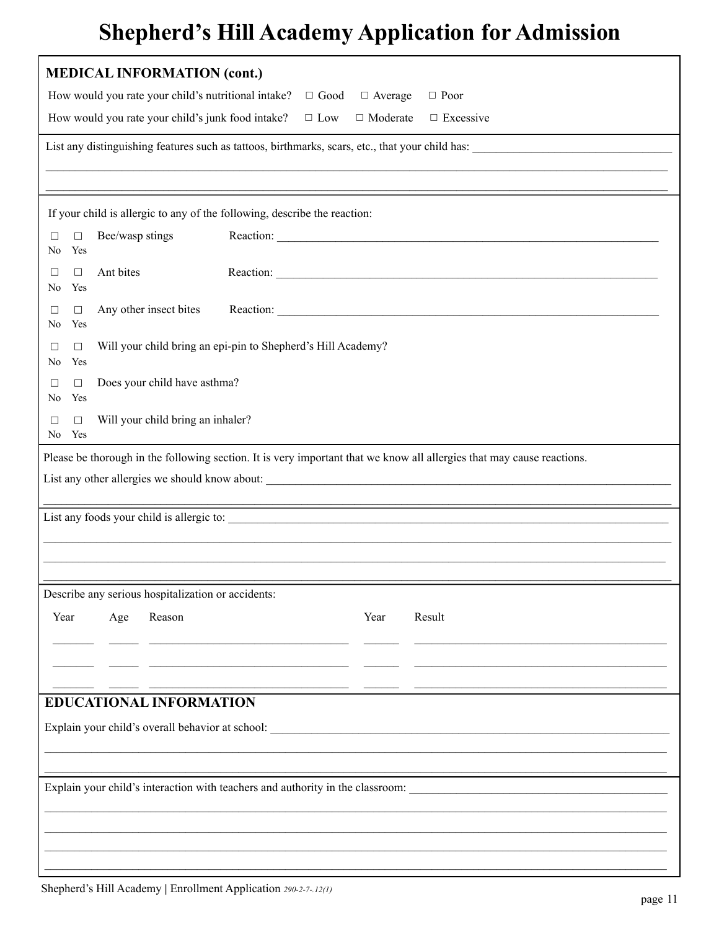| <b>MEDICAL INFORMATION (cont.)</b>                                                                                                                                                                                             |      |           |  |  |  |  |  |
|--------------------------------------------------------------------------------------------------------------------------------------------------------------------------------------------------------------------------------|------|-----------|--|--|--|--|--|
| How would you rate your child's nutritional intake?<br>$\Box$ Good<br>$\Box$ Average<br>$\Box$ Poor                                                                                                                            |      |           |  |  |  |  |  |
| How would you rate your child's junk food intake?<br>$\Box$ Low<br>$\Box$ Moderate<br>$\Box$ Excessive                                                                                                                         |      |           |  |  |  |  |  |
|                                                                                                                                                                                                                                |      |           |  |  |  |  |  |
|                                                                                                                                                                                                                                |      |           |  |  |  |  |  |
| If your child is allergic to any of the following, describe the reaction:                                                                                                                                                      |      |           |  |  |  |  |  |
| Bee/wasp stings<br>$\Box$<br>П<br>Yes<br>N <sub>0</sub>                                                                                                                                                                        |      |           |  |  |  |  |  |
| Ant bites<br>$\Box$<br>$\Box$<br>Yes<br>No                                                                                                                                                                                     |      |           |  |  |  |  |  |
| Any other insect bites<br>$\Box$<br>П<br>Yes<br>No                                                                                                                                                                             |      | Reaction: |  |  |  |  |  |
| Will your child bring an epi-pin to Shepherd's Hill Academy?<br>П<br>$\Box$<br>Yes<br>N <sub>0</sub>                                                                                                                           |      |           |  |  |  |  |  |
| Does your child have asthma?<br>$\Box$<br>П<br>No<br>Yes                                                                                                                                                                       |      |           |  |  |  |  |  |
| Will your child bring an inhaler?<br>$\Box$<br>П<br>No Yes                                                                                                                                                                     |      |           |  |  |  |  |  |
| Please be thorough in the following section. It is very important that we know all allergies that may cause reactions.                                                                                                         |      |           |  |  |  |  |  |
|                                                                                                                                                                                                                                |      |           |  |  |  |  |  |
|                                                                                                                                                                                                                                |      |           |  |  |  |  |  |
|                                                                                                                                                                                                                                |      |           |  |  |  |  |  |
|                                                                                                                                                                                                                                |      |           |  |  |  |  |  |
| Describe any serious hospitalization or accidents:                                                                                                                                                                             |      |           |  |  |  |  |  |
| Year<br>Age<br>Reason                                                                                                                                                                                                          | Year | Result    |  |  |  |  |  |
|                                                                                                                                                                                                                                |      |           |  |  |  |  |  |
|                                                                                                                                                                                                                                |      |           |  |  |  |  |  |
| <b>EDUCATIONAL INFORMATION</b>                                                                                                                                                                                                 |      |           |  |  |  |  |  |
| Explain your child's overall behavior at school: Lease and the state of the state of the state of the state of the state of the state of the state of the state of the state of the state of the state of the state of the sta |      |           |  |  |  |  |  |
|                                                                                                                                                                                                                                |      |           |  |  |  |  |  |
| Explain your child's interaction with teachers and authority in the classroom:                                                                                                                                                 |      |           |  |  |  |  |  |
|                                                                                                                                                                                                                                |      |           |  |  |  |  |  |
|                                                                                                                                                                                                                                |      |           |  |  |  |  |  |
|                                                                                                                                                                                                                                |      |           |  |  |  |  |  |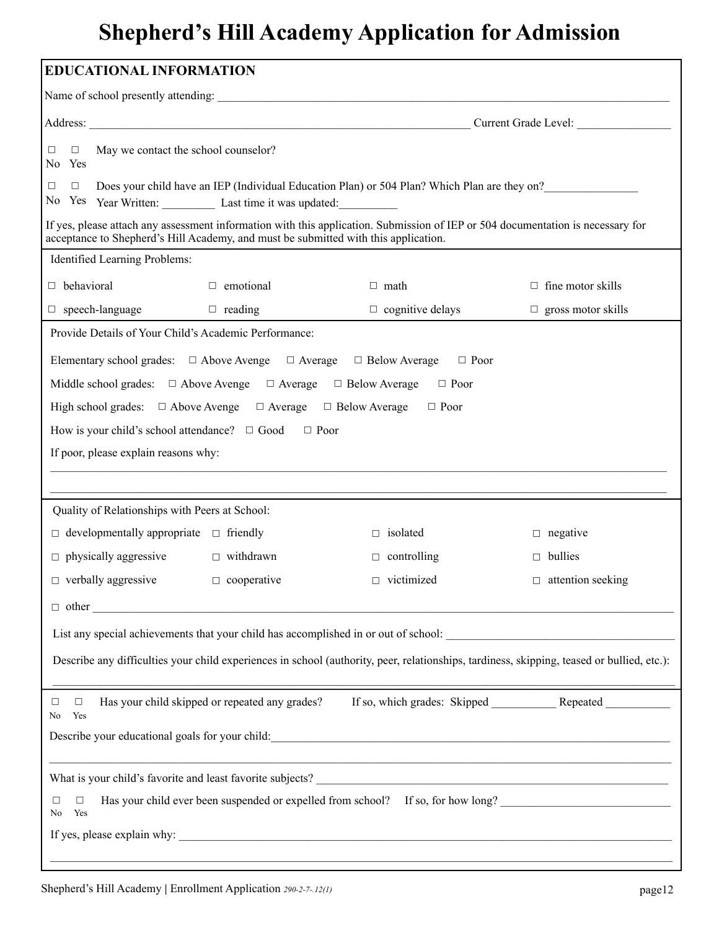| <b>EDUCATIONAL INFORMATION</b>                                                                                                                                                                                         |                                                                                  |                           |  |  |  |  |  |
|------------------------------------------------------------------------------------------------------------------------------------------------------------------------------------------------------------------------|----------------------------------------------------------------------------------|---------------------------|--|--|--|--|--|
|                                                                                                                                                                                                                        |                                                                                  |                           |  |  |  |  |  |
| Current Grade Level:                                                                                                                                                                                                   |                                                                                  |                           |  |  |  |  |  |
| May we contact the school counselor?<br>$\Box$<br>□<br>No Yes                                                                                                                                                          |                                                                                  |                           |  |  |  |  |  |
| Does your child have an IEP (Individual Education Plan) or 504 Plan? Which Plan are they on?<br>$\Box$<br>□<br>No Yes Year Written: Last time it was updated:                                                          |                                                                                  |                           |  |  |  |  |  |
| If yes, please attach any assessment information with this application. Submission of IEP or 504 documentation is necessary for<br>acceptance to Shepherd's Hill Academy, and must be submitted with this application. |                                                                                  |                           |  |  |  |  |  |
| Identified Learning Problems:                                                                                                                                                                                          |                                                                                  |                           |  |  |  |  |  |
| $\Box$ behavioral<br>$\Box$ emotional                                                                                                                                                                                  | $\Box$ math                                                                      | $\Box$ fine motor skills  |  |  |  |  |  |
| $\Box$ speech-language $\Box$ reading                                                                                                                                                                                  | $\Box$ cognitive delays                                                          | $\Box$ gross motor skills |  |  |  |  |  |
| Provide Details of Your Child's Academic Performance:                                                                                                                                                                  |                                                                                  |                           |  |  |  |  |  |
| Elementary school grades: $\Box$ Above Avenge $\Box$ Average $\Box$ Below Average $\Box$ Poor                                                                                                                          |                                                                                  |                           |  |  |  |  |  |
| Middle school grades: $\Box$ Above Avenge $\Box$ Average $\Box$ Below Average $\Box$ Poor                                                                                                                              |                                                                                  |                           |  |  |  |  |  |
| High school grades: $\Box$ Above Avenge $\Box$ Average $\Box$ Below Average $\Box$ Poor                                                                                                                                |                                                                                  |                           |  |  |  |  |  |
| How is your child's school attendance? $\Box$ Good $\Box$ Poor                                                                                                                                                         |                                                                                  |                           |  |  |  |  |  |
| If poor, please explain reasons why:                                                                                                                                                                                   |                                                                                  |                           |  |  |  |  |  |
|                                                                                                                                                                                                                        |                                                                                  |                           |  |  |  |  |  |
| Quality of Relationships with Peers at School:                                                                                                                                                                         |                                                                                  |                           |  |  |  |  |  |
| $\Box$ developmentally appropriate $\Box$ friendly                                                                                                                                                                     | $\Box$ isolated                                                                  | $\Box$ negative           |  |  |  |  |  |
| $\Box$ physically aggressive<br>$\Box$ withdrawn                                                                                                                                                                       | $\Box$ controlling                                                               | $\Box$ bullies            |  |  |  |  |  |
| $\Box$ verbally aggressive<br>$\Box$ cooperative                                                                                                                                                                       | $\Box$ victimized                                                                | $\Box$ attention seeking  |  |  |  |  |  |
|                                                                                                                                                                                                                        |                                                                                  |                           |  |  |  |  |  |
|                                                                                                                                                                                                                        |                                                                                  |                           |  |  |  |  |  |
|                                                                                                                                                                                                                        |                                                                                  |                           |  |  |  |  |  |
| Describe any difficulties your child experiences in school (authority, peer, relationships, tardiness, skipping, teased or bullied, etc.):                                                                             |                                                                                  |                           |  |  |  |  |  |
| Has your child skipped or repeated any grades?<br>$\Box$<br>□<br>Yes<br>No                                                                                                                                             |                                                                                  |                           |  |  |  |  |  |
|                                                                                                                                                                                                                        |                                                                                  |                           |  |  |  |  |  |
|                                                                                                                                                                                                                        |                                                                                  |                           |  |  |  |  |  |
| □<br>□<br>Yes<br>No                                                                                                                                                                                                    | Has your child ever been suspended or expelled from school? If so, for how long? |                           |  |  |  |  |  |
|                                                                                                                                                                                                                        |                                                                                  |                           |  |  |  |  |  |
|                                                                                                                                                                                                                        |                                                                                  |                           |  |  |  |  |  |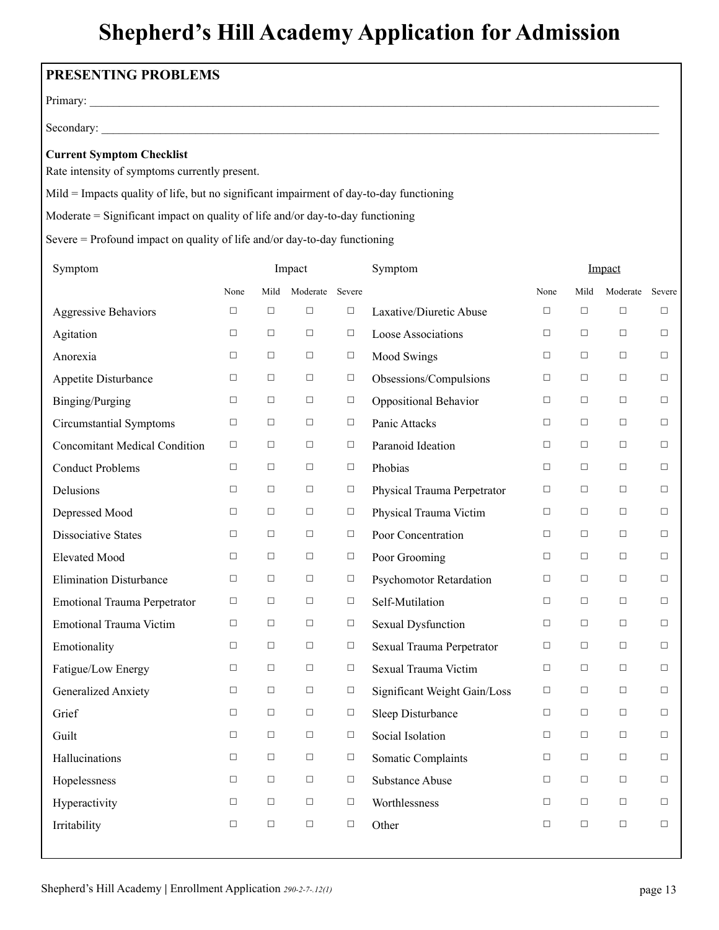| PRESENTING PROBLEMS                                                                     |        |        |                 |                 |                              |        |        |          |        |
|-----------------------------------------------------------------------------------------|--------|--------|-----------------|-----------------|------------------------------|--------|--------|----------|--------|
|                                                                                         |        |        |                 |                 |                              |        |        |          |        |
|                                                                                         |        |        |                 |                 |                              |        |        |          |        |
| <b>Current Symptom Checklist</b><br>Rate intensity of symptoms currently present.       |        |        |                 |                 |                              |        |        |          |        |
| Mild = Impacts quality of life, but no significant impairment of day-to-day functioning |        |        |                 |                 |                              |        |        |          |        |
| Moderate $=$ Significant impact on quality of life and/or day-to-day functioning        |        |        |                 |                 |                              |        |        |          |        |
| Severe = Profound impact on quality of life and/or day-to-day functioning               |        |        |                 |                 |                              |        |        |          |        |
| Symptom                                                                                 |        |        | Impact          |                 | Symptom                      |        |        | Impact   |        |
|                                                                                         | None   | Mild   | Moderate Severe |                 |                              | None   | Mild   | Moderate | Severe |
| <b>Aggressive Behaviors</b>                                                             | $\Box$ | $\Box$ | $\Box$          | $\Box$          | Laxative/Diuretic Abuse      | $\Box$ | $\Box$ | $\Box$   | $\Box$ |
| Agitation                                                                               | $\Box$ | $\Box$ | $\Box$          | $\Box$          | Loose Associations           | $\Box$ | □      | □        | $\Box$ |
| Anorexia                                                                                | □      | $\Box$ | $\Box$          | $\Box$          | Mood Swings                  | $\Box$ | □      | $\Box$   | $\Box$ |
| Appetite Disturbance                                                                    | $\Box$ | $\Box$ | $\Box$          | $\Box$          | Obsessions/Compulsions       | $\Box$ | □      | □        | □      |
| Binging/Purging                                                                         | $\Box$ | $\Box$ | $\Box$          | $\Box$          | Oppositional Behavior        | $\Box$ | $\Box$ | $\Box$   | $\Box$ |
| <b>Circumstantial Symptoms</b>                                                          | $\Box$ | $\Box$ | $\Box$          | $\Box$          | Panic Attacks                | $\Box$ | □      | $\Box$   | $\Box$ |
| <b>Concomitant Medical Condition</b>                                                    | $\Box$ | $\Box$ | $\Box$          | $\Box$          | Paranoid Ideation            | $\Box$ | $\Box$ | $\Box$   | $\Box$ |
| <b>Conduct Problems</b>                                                                 | $\Box$ | $\Box$ | $\Box$          | $\Box$          | Phobias                      | $\Box$ | $\Box$ | $\Box$   | $\Box$ |
| Delusions                                                                               | $\Box$ | $\Box$ | $\Box$          | □               | Physical Trauma Perpetrator  | $\Box$ | $\Box$ | $\Box$   | □      |
| Depressed Mood                                                                          | $\Box$ | $\Box$ | $\Box$          | $\Box$          | Physical Trauma Victim       | $\Box$ | $\Box$ | $\Box$   | $\Box$ |
| <b>Dissociative States</b>                                                              | $\Box$ | $\Box$ | $\Box$          | $\Box$          | Poor Concentration           | $\Box$ | $\Box$ | $\Box$   | $\Box$ |
| <b>Elevated Mood</b>                                                                    | $\Box$ | $\Box$ | $\Box$          | $\Box$          | Poor Grooming                | $\Box$ | $\Box$ | □        | $\Box$ |
| <b>Elimination Disturbance</b>                                                          | $\Box$ | $\Box$ | $\Box$          | $\Box$          | Psychomotor Retardation      | $\Box$ | $\Box$ | $\Box$   |        |
| <b>Emotional Trauma Perpetrator</b>                                                     | $\Box$ | $\Box$ | $\Box$          | $\Box$          | Self-Mutilation              | $\Box$ | $\Box$ | $\Box$   | $\Box$ |
| <b>Emotional Trauma Victim</b>                                                          | $\Box$ | $\Box$ | $\Box$          | $\Box$          | Sexual Dysfunction           | $\Box$ | $\Box$ | $\Box$   | $\Box$ |
| Emotionality                                                                            | $\Box$ | $\Box$ | $\Box$          | $\Box$          | Sexual Trauma Perpetrator    | $\Box$ | □      | $\Box$   | $\Box$ |
| Fatigue/Low Energy                                                                      | $\Box$ | $\Box$ | $\Box$          | $\Box$          | Sexual Trauma Victim         | $\Box$ | $\Box$ | $\Box$   | $\Box$ |
| Generalized Anxiety                                                                     | $\Box$ | $\Box$ | $\Box$          | $\Box$          | Significant Weight Gain/Loss | $\Box$ | $\Box$ | $\Box$   | $\Box$ |
| Grief                                                                                   | $\Box$ | $\Box$ | $\Box$          | $\Box$          | Sleep Disturbance            | $\Box$ | $\Box$ | $\Box$   | $\Box$ |
| Guilt                                                                                   | $\Box$ | $\Box$ | $\Box$          | $\Box$          | Social Isolation             | $\Box$ | $\Box$ | $\Box$   | $\Box$ |
| Hallucinations                                                                          | $\Box$ | $\Box$ | $\Box$          | $\Box$          | Somatic Complaints           | $\Box$ | □      | $\Box$   | $\Box$ |
| Hopelessness                                                                            | $\Box$ | $\Box$ | $\Box$          | $\hfill\square$ | <b>Substance Abuse</b>       | $\Box$ | $\Box$ | $\Box$   | $\Box$ |
| Hyperactivity                                                                           | $\Box$ | $\Box$ | $\Box$          | $\Box$          | Worthlessness                | $\Box$ | $\Box$ | $\Box$   | $\Box$ |
| Irritability                                                                            | $\Box$ | $\Box$ | $\Box$          | $\Box$          | Other                        | $\Box$ | $\Box$ | $\Box$   | $\Box$ |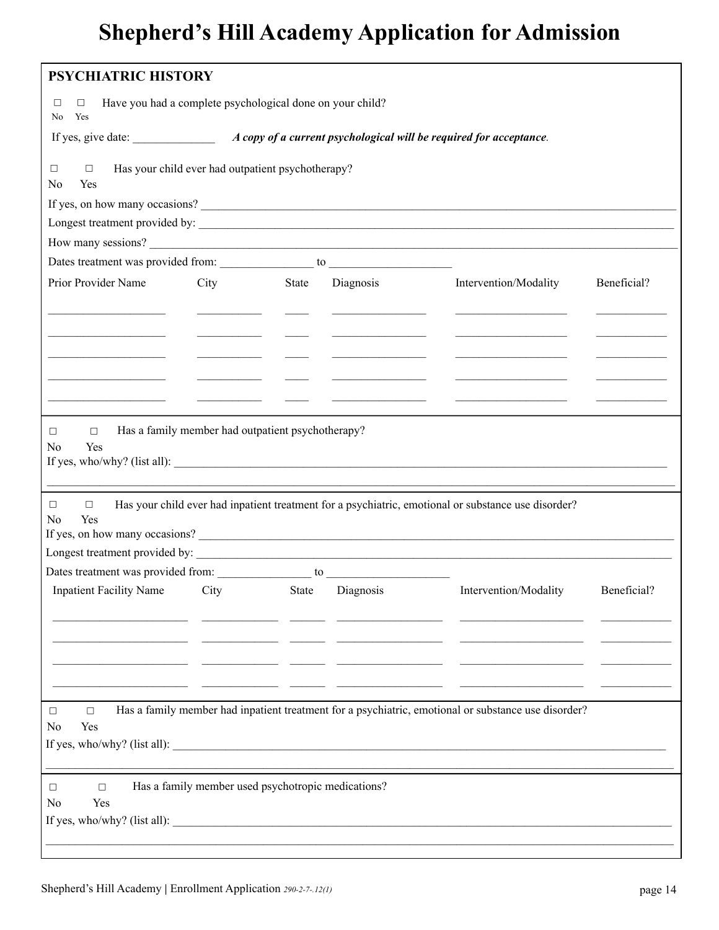| <b>PSYCHIATRIC HISTORY</b>                                                                 |      |                                                    |           |                                                                                                                                       |             |  |
|--------------------------------------------------------------------------------------------|------|----------------------------------------------------|-----------|---------------------------------------------------------------------------------------------------------------------------------------|-------------|--|
| Have you had a complete psychological done on your child?<br>$\Box$<br>$\Box$<br>Yes<br>No |      |                                                    |           |                                                                                                                                       |             |  |
|                                                                                            |      |                                                    |           |                                                                                                                                       |             |  |
| Has your child ever had outpatient psychotherapy?<br>□<br>$\Box$<br>No<br>Yes              |      |                                                    |           |                                                                                                                                       |             |  |
|                                                                                            |      |                                                    |           | If yes, on how many occasions?                                                                                                        |             |  |
|                                                                                            |      |                                                    |           |                                                                                                                                       |             |  |
|                                                                                            |      |                                                    |           | How many sessions?                                                                                                                    |             |  |
|                                                                                            |      |                                                    |           |                                                                                                                                       |             |  |
| Prior Provider Name                                                                        | City | State                                              | Diagnosis | Intervention/Modality                                                                                                                 | Beneficial? |  |
|                                                                                            |      |                                                    |           |                                                                                                                                       |             |  |
|                                                                                            |      |                                                    |           |                                                                                                                                       |             |  |
|                                                                                            |      |                                                    |           |                                                                                                                                       |             |  |
|                                                                                            |      |                                                    |           | the control of the control of the control of                                                                                          |             |  |
|                                                                                            |      |                                                    |           |                                                                                                                                       |             |  |
|                                                                                            |      |                                                    |           |                                                                                                                                       |             |  |
| No<br>Yes<br>$\Box$<br>$\Box$<br>Yes<br>No                                                 |      |                                                    |           | Has your child ever had inpatient treatment for a psychiatric, emotional or substance use disorder?<br>If yes, on how many occasions? |             |  |
|                                                                                            |      |                                                    |           |                                                                                                                                       |             |  |
|                                                                                            |      |                                                    |           |                                                                                                                                       |             |  |
|                                                                                            |      |                                                    |           | Inpatient Facility Name City State Diagnosis Intervention/Modality Beneficial?                                                        |             |  |
|                                                                                            |      |                                                    |           |                                                                                                                                       |             |  |
|                                                                                            |      |                                                    |           |                                                                                                                                       |             |  |
|                                                                                            |      |                                                    |           |                                                                                                                                       |             |  |
|                                                                                            |      |                                                    |           |                                                                                                                                       |             |  |
|                                                                                            |      |                                                    |           |                                                                                                                                       |             |  |
| □<br>$\Box$<br>Yes<br>No                                                                   |      |                                                    |           | Has a family member had inpatient treatment for a psychiatric, emotional or substance use disorder?                                   |             |  |
|                                                                                            |      |                                                    |           |                                                                                                                                       |             |  |
| $\Box$<br>$\Box$<br>Yes<br>No                                                              |      | Has a family member used psychotropic medications? |           |                                                                                                                                       |             |  |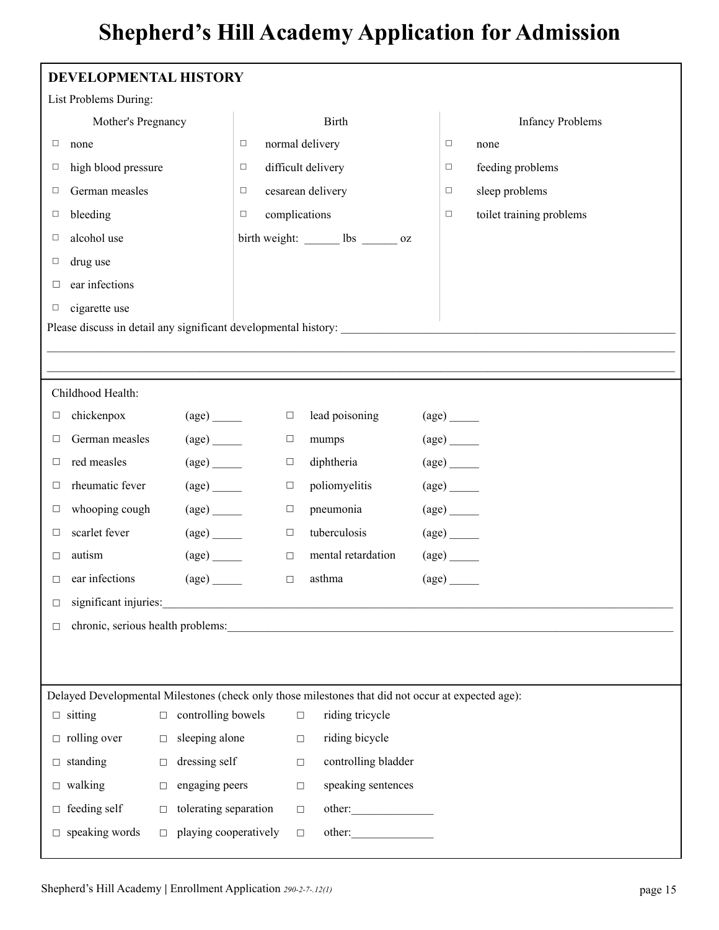| List Problems During:<br><b>Birth</b><br><b>Infancy Problems</b><br>Mother's Pregnancy<br>normal delivery<br>$\Box$<br>none<br>□<br>$\Box$<br>none<br>difficult delivery<br>high blood pressure<br>feeding problems<br>$\Box$<br>□<br>□<br>German measles<br>cesarean delivery<br>sleep problems<br>□<br>□<br>□<br>bleeding<br>complications<br>toilet training problems<br>$\Box$<br>$\Box$<br>□<br>alcohol use<br>birth weight: ______ lbs ______ oz<br>$\Box$<br>drug use<br>□<br>ear infections<br>□<br>cigarette use<br>□<br>Please discuss in detail any significant developmental history:<br>Childhood Health:<br>lead poisoning<br>chickenpox<br>$\frac{\text{(age)}}{\text{}}$<br>$\Box$<br>$\frac{\text{(age)}}{\text{}}$<br>□<br>German measles<br>$\frac{\text{(age)}}{\text{1}}$<br>$\frac{\text{(age)}}{\text{}}$<br>mumps<br>$\Box$<br>$\Box$<br>red measles<br>$\frac{\text{(age)}}{\text{}}$<br>diphtheria<br>$\frac{\text{(age)}}{\text{}}$<br>$\Box$<br>$\Box$<br>rheumatic fever<br>$\frac{\text{(age)}}{\text{}}$<br>poliomyelitis<br>$\frac{\text{(age)}}{\text{}}$<br>$\Box$<br>□<br>pneumonia<br>whooping cough<br>$\frac{\text{(age)}}{\text{1}}$<br>$\frac{\text{(age)}}{\text{}}$<br>$\Box$<br>$\Box$<br>scarlet fever<br>tuberculosis<br>$\frac{\text{(age)}}{ }$<br>$\frac{\text{(age)}}{\text{1}}$<br>$\Box$<br>□<br>autism<br>mental retardation<br>$\frac{\text{(age)}}{\text{1}}$<br>$\frac{\text{(age)}}{ }$<br>$\Box$<br>□<br>ear infections<br>asthma<br>$\left( \text{age} \right)$<br>$\left( \text{age} \right)$<br>$\Box$<br>□<br>significant injuries:<br>□<br><u> 1989 - Johann Barn, fransk politik (f. 1989)</u> |
|---------------------------------------------------------------------------------------------------------------------------------------------------------------------------------------------------------------------------------------------------------------------------------------------------------------------------------------------------------------------------------------------------------------------------------------------------------------------------------------------------------------------------------------------------------------------------------------------------------------------------------------------------------------------------------------------------------------------------------------------------------------------------------------------------------------------------------------------------------------------------------------------------------------------------------------------------------------------------------------------------------------------------------------------------------------------------------------------------------------------------------------------------------------------------------------------------------------------------------------------------------------------------------------------------------------------------------------------------------------------------------------------------------------------------------------------------------------------------------------------------------------------------------------------------------------------------------------------------------------------------------------------------------------|
|                                                                                                                                                                                                                                                                                                                                                                                                                                                                                                                                                                                                                                                                                                                                                                                                                                                                                                                                                                                                                                                                                                                                                                                                                                                                                                                                                                                                                                                                                                                                                                                                                                                               |
|                                                                                                                                                                                                                                                                                                                                                                                                                                                                                                                                                                                                                                                                                                                                                                                                                                                                                                                                                                                                                                                                                                                                                                                                                                                                                                                                                                                                                                                                                                                                                                                                                                                               |
|                                                                                                                                                                                                                                                                                                                                                                                                                                                                                                                                                                                                                                                                                                                                                                                                                                                                                                                                                                                                                                                                                                                                                                                                                                                                                                                                                                                                                                                                                                                                                                                                                                                               |
|                                                                                                                                                                                                                                                                                                                                                                                                                                                                                                                                                                                                                                                                                                                                                                                                                                                                                                                                                                                                                                                                                                                                                                                                                                                                                                                                                                                                                                                                                                                                                                                                                                                               |
|                                                                                                                                                                                                                                                                                                                                                                                                                                                                                                                                                                                                                                                                                                                                                                                                                                                                                                                                                                                                                                                                                                                                                                                                                                                                                                                                                                                                                                                                                                                                                                                                                                                               |
|                                                                                                                                                                                                                                                                                                                                                                                                                                                                                                                                                                                                                                                                                                                                                                                                                                                                                                                                                                                                                                                                                                                                                                                                                                                                                                                                                                                                                                                                                                                                                                                                                                                               |
|                                                                                                                                                                                                                                                                                                                                                                                                                                                                                                                                                                                                                                                                                                                                                                                                                                                                                                                                                                                                                                                                                                                                                                                                                                                                                                                                                                                                                                                                                                                                                                                                                                                               |
|                                                                                                                                                                                                                                                                                                                                                                                                                                                                                                                                                                                                                                                                                                                                                                                                                                                                                                                                                                                                                                                                                                                                                                                                                                                                                                                                                                                                                                                                                                                                                                                                                                                               |
|                                                                                                                                                                                                                                                                                                                                                                                                                                                                                                                                                                                                                                                                                                                                                                                                                                                                                                                                                                                                                                                                                                                                                                                                                                                                                                                                                                                                                                                                                                                                                                                                                                                               |
|                                                                                                                                                                                                                                                                                                                                                                                                                                                                                                                                                                                                                                                                                                                                                                                                                                                                                                                                                                                                                                                                                                                                                                                                                                                                                                                                                                                                                                                                                                                                                                                                                                                               |
|                                                                                                                                                                                                                                                                                                                                                                                                                                                                                                                                                                                                                                                                                                                                                                                                                                                                                                                                                                                                                                                                                                                                                                                                                                                                                                                                                                                                                                                                                                                                                                                                                                                               |
|                                                                                                                                                                                                                                                                                                                                                                                                                                                                                                                                                                                                                                                                                                                                                                                                                                                                                                                                                                                                                                                                                                                                                                                                                                                                                                                                                                                                                                                                                                                                                                                                                                                               |
|                                                                                                                                                                                                                                                                                                                                                                                                                                                                                                                                                                                                                                                                                                                                                                                                                                                                                                                                                                                                                                                                                                                                                                                                                                                                                                                                                                                                                                                                                                                                                                                                                                                               |
|                                                                                                                                                                                                                                                                                                                                                                                                                                                                                                                                                                                                                                                                                                                                                                                                                                                                                                                                                                                                                                                                                                                                                                                                                                                                                                                                                                                                                                                                                                                                                                                                                                                               |
|                                                                                                                                                                                                                                                                                                                                                                                                                                                                                                                                                                                                                                                                                                                                                                                                                                                                                                                                                                                                                                                                                                                                                                                                                                                                                                                                                                                                                                                                                                                                                                                                                                                               |
|                                                                                                                                                                                                                                                                                                                                                                                                                                                                                                                                                                                                                                                                                                                                                                                                                                                                                                                                                                                                                                                                                                                                                                                                                                                                                                                                                                                                                                                                                                                                                                                                                                                               |
|                                                                                                                                                                                                                                                                                                                                                                                                                                                                                                                                                                                                                                                                                                                                                                                                                                                                                                                                                                                                                                                                                                                                                                                                                                                                                                                                                                                                                                                                                                                                                                                                                                                               |
|                                                                                                                                                                                                                                                                                                                                                                                                                                                                                                                                                                                                                                                                                                                                                                                                                                                                                                                                                                                                                                                                                                                                                                                                                                                                                                                                                                                                                                                                                                                                                                                                                                                               |
|                                                                                                                                                                                                                                                                                                                                                                                                                                                                                                                                                                                                                                                                                                                                                                                                                                                                                                                                                                                                                                                                                                                                                                                                                                                                                                                                                                                                                                                                                                                                                                                                                                                               |
|                                                                                                                                                                                                                                                                                                                                                                                                                                                                                                                                                                                                                                                                                                                                                                                                                                                                                                                                                                                                                                                                                                                                                                                                                                                                                                                                                                                                                                                                                                                                                                                                                                                               |
|                                                                                                                                                                                                                                                                                                                                                                                                                                                                                                                                                                                                                                                                                                                                                                                                                                                                                                                                                                                                                                                                                                                                                                                                                                                                                                                                                                                                                                                                                                                                                                                                                                                               |
|                                                                                                                                                                                                                                                                                                                                                                                                                                                                                                                                                                                                                                                                                                                                                                                                                                                                                                                                                                                                                                                                                                                                                                                                                                                                                                                                                                                                                                                                                                                                                                                                                                                               |
|                                                                                                                                                                                                                                                                                                                                                                                                                                                                                                                                                                                                                                                                                                                                                                                                                                                                                                                                                                                                                                                                                                                                                                                                                                                                                                                                                                                                                                                                                                                                                                                                                                                               |
| $\Box$                                                                                                                                                                                                                                                                                                                                                                                                                                                                                                                                                                                                                                                                                                                                                                                                                                                                                                                                                                                                                                                                                                                                                                                                                                                                                                                                                                                                                                                                                                                                                                                                                                                        |
|                                                                                                                                                                                                                                                                                                                                                                                                                                                                                                                                                                                                                                                                                                                                                                                                                                                                                                                                                                                                                                                                                                                                                                                                                                                                                                                                                                                                                                                                                                                                                                                                                                                               |
|                                                                                                                                                                                                                                                                                                                                                                                                                                                                                                                                                                                                                                                                                                                                                                                                                                                                                                                                                                                                                                                                                                                                                                                                                                                                                                                                                                                                                                                                                                                                                                                                                                                               |
| Delayed Developmental Milestones (check only those milestones that did not occur at expected age):                                                                                                                                                                                                                                                                                                                                                                                                                                                                                                                                                                                                                                                                                                                                                                                                                                                                                                                                                                                                                                                                                                                                                                                                                                                                                                                                                                                                                                                                                                                                                            |
| controlling bowels<br>riding tricycle<br>$\Box$ sitting<br>$\Box$<br>$\Box$                                                                                                                                                                                                                                                                                                                                                                                                                                                                                                                                                                                                                                                                                                                                                                                                                                                                                                                                                                                                                                                                                                                                                                                                                                                                                                                                                                                                                                                                                                                                                                                   |
| $\Box$ rolling over<br>riding bicycle<br>sleeping alone<br>$\Box$<br>$\Box$                                                                                                                                                                                                                                                                                                                                                                                                                                                                                                                                                                                                                                                                                                                                                                                                                                                                                                                                                                                                                                                                                                                                                                                                                                                                                                                                                                                                                                                                                                                                                                                   |
| $\Box$ standing<br>dressing self<br>controlling bladder<br>$\Box$<br>□                                                                                                                                                                                                                                                                                                                                                                                                                                                                                                                                                                                                                                                                                                                                                                                                                                                                                                                                                                                                                                                                                                                                                                                                                                                                                                                                                                                                                                                                                                                                                                                        |
| engaging peers<br>speaking sentences<br>$\Box$ walking<br>$\Box$<br>$\Box$                                                                                                                                                                                                                                                                                                                                                                                                                                                                                                                                                                                                                                                                                                                                                                                                                                                                                                                                                                                                                                                                                                                                                                                                                                                                                                                                                                                                                                                                                                                                                                                    |
| $\Box$ feeding self<br>tolerating separation<br>other:<br>$\Box$<br>$\Box$                                                                                                                                                                                                                                                                                                                                                                                                                                                                                                                                                                                                                                                                                                                                                                                                                                                                                                                                                                                                                                                                                                                                                                                                                                                                                                                                                                                                                                                                                                                                                                                    |
| $\Box$ speaking words<br>playing cooperatively<br>other:<br>$\Box$<br>$\Box$                                                                                                                                                                                                                                                                                                                                                                                                                                                                                                                                                                                                                                                                                                                                                                                                                                                                                                                                                                                                                                                                                                                                                                                                                                                                                                                                                                                                                                                                                                                                                                                  |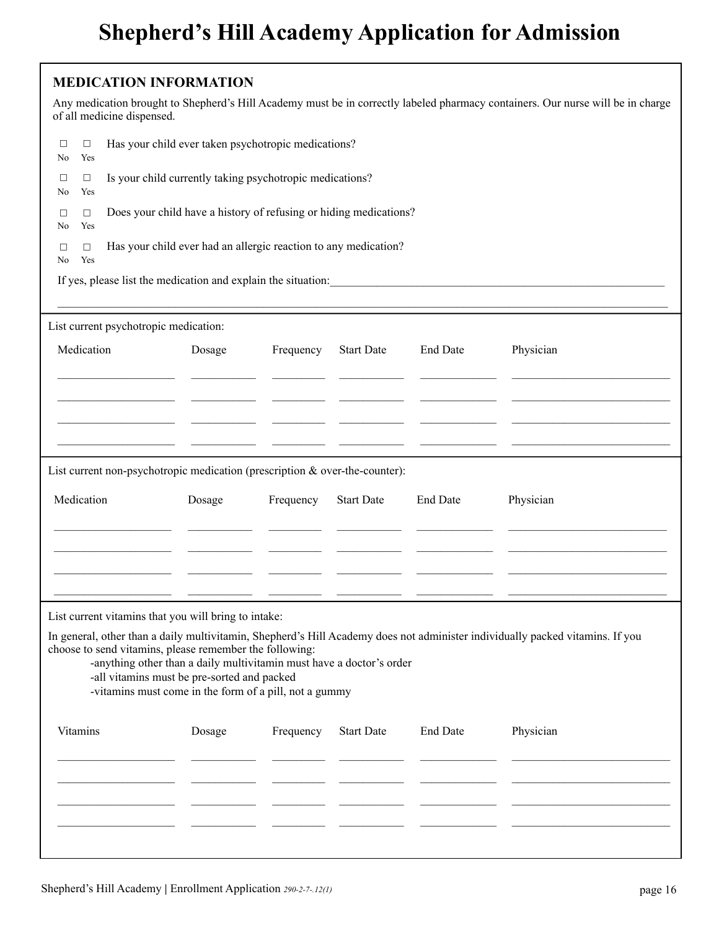#### **MEDICATION INFORMATION**

|         |               | of all medicine dispensed.                                                                                                                                                                                                               |        |                                                                 |                   |                 | Any medication brought to Shepherd's Hill Academy must be in correctly labeled pharmacy containers. Our nurse will be in charge                                                                                                |  |  |
|---------|---------------|------------------------------------------------------------------------------------------------------------------------------------------------------------------------------------------------------------------------------------------|--------|-----------------------------------------------------------------|-------------------|-----------------|--------------------------------------------------------------------------------------------------------------------------------------------------------------------------------------------------------------------------------|--|--|
| □<br>No | □<br>Yes      | Has your child ever taken psychotropic medications?                                                                                                                                                                                      |        |                                                                 |                   |                 |                                                                                                                                                                                                                                |  |  |
| □<br>No | □<br>Yes      | Is your child currently taking psychotropic medications?                                                                                                                                                                                 |        |                                                                 |                   |                 |                                                                                                                                                                                                                                |  |  |
| □<br>No | $\Box$<br>Yes | Does your child have a history of refusing or hiding medications?                                                                                                                                                                        |        |                                                                 |                   |                 |                                                                                                                                                                                                                                |  |  |
| □<br>No | $\Box$<br>Yes |                                                                                                                                                                                                                                          |        | Has your child ever had an allergic reaction to any medication? |                   |                 |                                                                                                                                                                                                                                |  |  |
|         |               |                                                                                                                                                                                                                                          |        |                                                                 |                   |                 | If yes, please list the medication and explain the situation: explainting the situation of the situation of the situation of the situation of the situation of the situation of the situation of the situation of the situatio |  |  |
|         |               | List current psychotropic medication:                                                                                                                                                                                                    |        |                                                                 |                   |                 |                                                                                                                                                                                                                                |  |  |
|         | Medication    |                                                                                                                                                                                                                                          | Dosage | Frequency                                                       | <b>Start Date</b> | <b>End Date</b> | Physician                                                                                                                                                                                                                      |  |  |
|         |               |                                                                                                                                                                                                                                          |        |                                                                 |                   |                 |                                                                                                                                                                                                                                |  |  |
|         |               |                                                                                                                                                                                                                                          |        |                                                                 |                   |                 |                                                                                                                                                                                                                                |  |  |
|         |               | List current non-psychotropic medication (prescription & over-the-counter):                                                                                                                                                              |        |                                                                 |                   |                 |                                                                                                                                                                                                                                |  |  |
|         | Medication    |                                                                                                                                                                                                                                          | Dosage | Frequency                                                       | <b>Start Date</b> | <b>End Date</b> | Physician                                                                                                                                                                                                                      |  |  |
|         |               |                                                                                                                                                                                                                                          |        |                                                                 |                   |                 |                                                                                                                                                                                                                                |  |  |
|         |               |                                                                                                                                                                                                                                          |        |                                                                 |                   |                 |                                                                                                                                                                                                                                |  |  |
|         |               | List current vitamins that you will bring to intake:                                                                                                                                                                                     |        |                                                                 |                   |                 |                                                                                                                                                                                                                                |  |  |
|         |               | choose to send vitamins, please remember the following:<br>-anything other than a daily multivitamin must have a doctor's order<br>-all vitamins must be pre-sorted and packed<br>-vitamins must come in the form of a pill, not a gummy |        |                                                                 |                   |                 | In general, other than a daily multivitamin, Shepherd's Hill Academy does not administer individually packed vitamins. If you                                                                                                  |  |  |
|         | Vitamins      |                                                                                                                                                                                                                                          | Dosage | Frequency                                                       | <b>Start Date</b> | <b>End Date</b> | Physician                                                                                                                                                                                                                      |  |  |
|         |               |                                                                                                                                                                                                                                          |        |                                                                 |                   |                 |                                                                                                                                                                                                                                |  |  |
|         |               |                                                                                                                                                                                                                                          |        |                                                                 |                   |                 |                                                                                                                                                                                                                                |  |  |
|         |               |                                                                                                                                                                                                                                          |        |                                                                 |                   |                 |                                                                                                                                                                                                                                |  |  |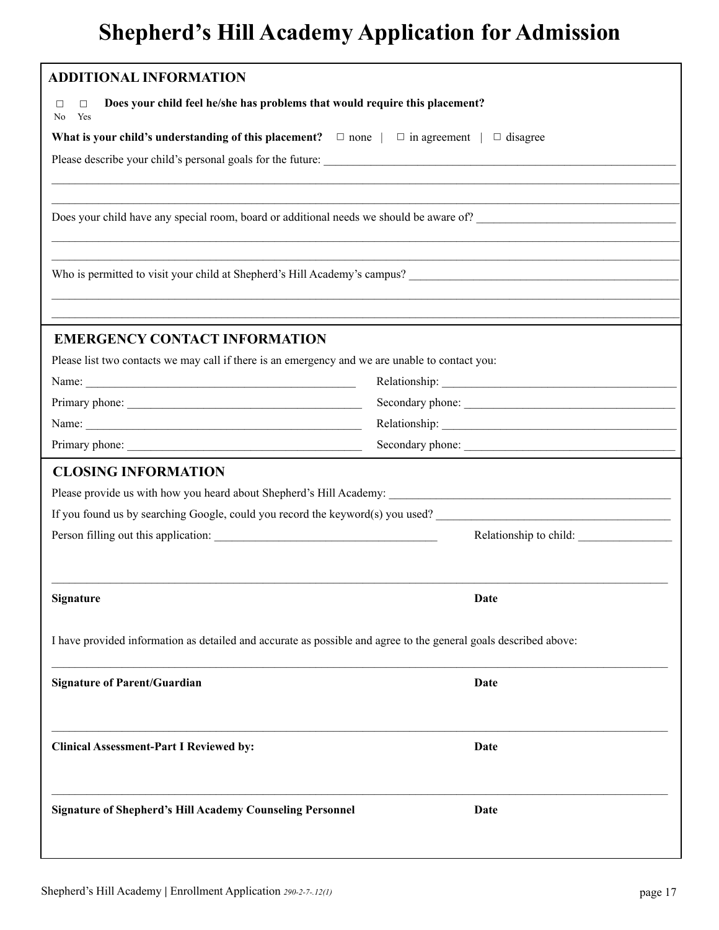| <b>ADDITIONAL INFORMATION</b>                                                                                       |                        |  |  |
|---------------------------------------------------------------------------------------------------------------------|------------------------|--|--|
| Does your child feel he/she has problems that would require this placement?<br>$\Box$<br>□<br>Yes<br>N <sub>0</sub> |                        |  |  |
| What is your child's understanding of this placement? $\Box$ none $ \Box$ in agreement $ \Box$ disagree             |                        |  |  |
|                                                                                                                     |                        |  |  |
|                                                                                                                     |                        |  |  |
|                                                                                                                     |                        |  |  |
|                                                                                                                     |                        |  |  |
|                                                                                                                     |                        |  |  |
|                                                                                                                     |                        |  |  |
| <b>EMERGENCY CONTACT INFORMATION</b>                                                                                |                        |  |  |
| Please list two contacts we may call if there is an emergency and we are unable to contact you:                     |                        |  |  |
|                                                                                                                     |                        |  |  |
| Secondary phone:                                                                                                    |                        |  |  |
|                                                                                                                     |                        |  |  |
| Secondary phone:                                                                                                    |                        |  |  |
| <b>CLOSING INFORMATION</b>                                                                                          |                        |  |  |
|                                                                                                                     |                        |  |  |
| If you found us by searching Google, could you record the keyword(s) you used?                                      |                        |  |  |
|                                                                                                                     | Relationship to child: |  |  |
| Signature                                                                                                           | Date                   |  |  |
| I have provided information as detailed and accurate as possible and agree to the general goals described above:    |                        |  |  |
| <b>Signature of Parent/Guardian</b>                                                                                 | Date                   |  |  |
| <b>Clinical Assessment-Part I Reviewed by:</b>                                                                      | Date                   |  |  |
| <b>Signature of Shepherd's Hill Academy Counseling Personnel</b>                                                    | Date                   |  |  |
|                                                                                                                     |                        |  |  |